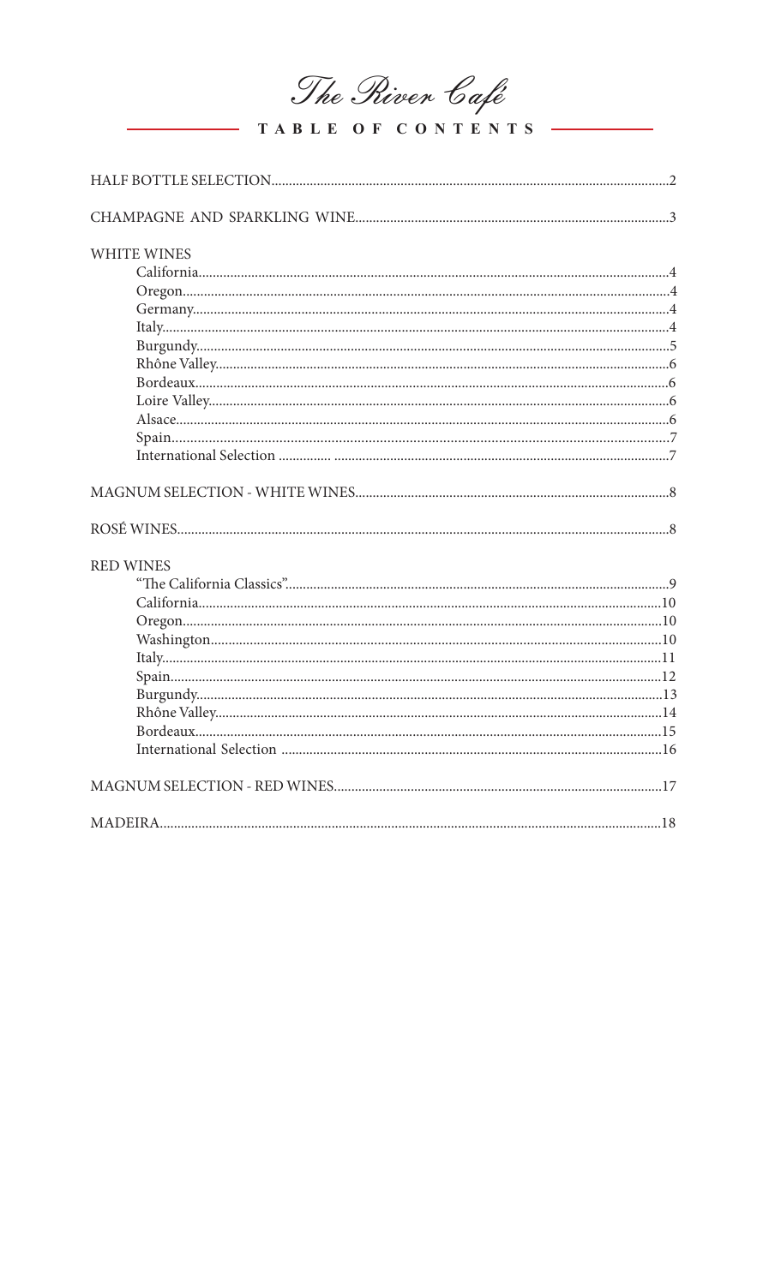| The River Cafe |  |
|----------------|--|
|                |  |

TABLE OF CONTENTS

| <b>WHITE WINES</b> |  |
|--------------------|--|
|                    |  |
|                    |  |
|                    |  |
|                    |  |
|                    |  |
|                    |  |
|                    |  |
|                    |  |
|                    |  |
|                    |  |
|                    |  |
|                    |  |
|                    |  |
|                    |  |
|                    |  |
| <b>RED WINES</b>   |  |
|                    |  |
|                    |  |
|                    |  |
|                    |  |
|                    |  |
|                    |  |
|                    |  |
|                    |  |
|                    |  |
|                    |  |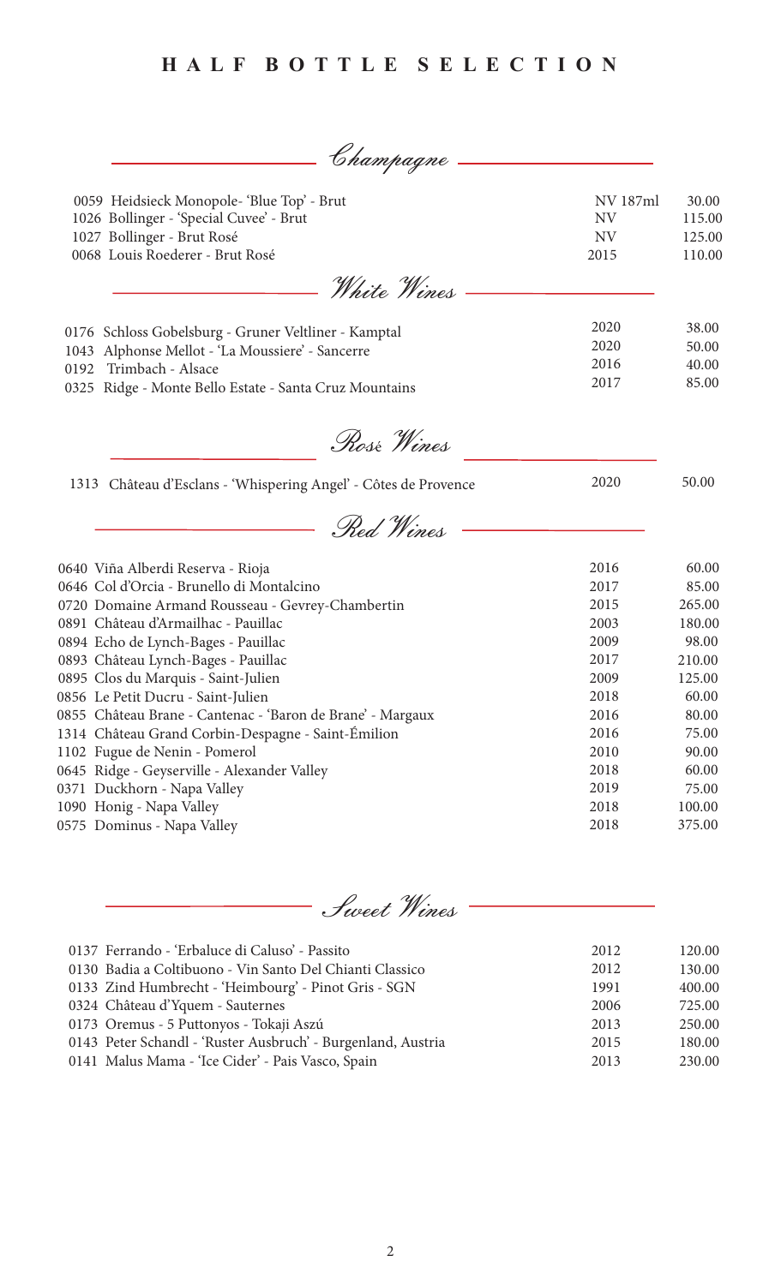| Champagne                                                                                                                                                                                       |                                            |                                     |
|-------------------------------------------------------------------------------------------------------------------------------------------------------------------------------------------------|--------------------------------------------|-------------------------------------|
| 0059 Heidsieck Monopole- 'Blue Top' - Brut<br>1026 Bollinger - 'Special Cuvee' - Brut<br>1027 Bollinger - Brut Rosé<br>0068 Louis Roederer - Brut Rosé                                          | NV 187ml<br><b>NV</b><br><b>NV</b><br>2015 | 30.00<br>115.00<br>125.00<br>110.00 |
| White Wines                                                                                                                                                                                     |                                            |                                     |
| 0176 Schloss Gobelsburg - Gruner Veltliner - Kamptal<br>1043 Alphonse Mellot - 'La Moussiere' - Sancerre<br>Trimbach - Alsace<br>0192<br>0325 Ridge - Monte Bello Estate - Santa Cruz Mountains | 2020<br>2020<br>2016<br>2017               | 38.00<br>50.00<br>40.00<br>85.00    |
|                                                                                                                                                                                                 |                                            |                                     |
| Rose Wines<br>1313 Château d'Esclans - 'Whispering Angel' - Côtes de Provence                                                                                                                   | 2020                                       | 50.00                               |
| Red Wines                                                                                                                                                                                       |                                            |                                     |
| 0640 Viña Alberdi Reserva - Rioja                                                                                                                                                               | 2016                                       | 60.00                               |
| 0646 Col d'Orcia - Brunello di Montalcino                                                                                                                                                       | 2017                                       | 85.00                               |
| 0720 Domaine Armand Rousseau - Gevrey-Chambertin                                                                                                                                                | 2015                                       | 265.00                              |
| 0891 Château d'Armailhac - Pauillac                                                                                                                                                             | 2003                                       | 180.00                              |
| 0894 Echo de Lynch-Bages - Pauillac                                                                                                                                                             | 2009                                       | 98.00                               |
| 0893 Château Lynch-Bages - Pauillac                                                                                                                                                             | 2017                                       | 210.00                              |
| 0895 Clos du Marquis - Saint-Julien                                                                                                                                                             | 2009                                       | 125.00                              |
| 0856 Le Petit Ducru - Saint-Julien                                                                                                                                                              | 2018                                       | 60.00                               |
| 0855 Château Brane - Cantenac - 'Baron de Brane' - Margaux                                                                                                                                      | 2016                                       | 80.00                               |
| 1314 Château Grand Corbin-Despagne - Saint-Émilion                                                                                                                                              | 2016                                       | 75.00                               |
| 1102 Fugue de Nenin - Pomerol                                                                                                                                                                   | 2010                                       | 90.00                               |
| 0645 Ridge - Geyserville - Alexander Valley                                                                                                                                                     | 2018                                       | 60.00                               |
| 0371 Duckhorn - Napa Valley                                                                                                                                                                     | 2019                                       | 75.00                               |
| 1090 Honig - Napa Valley                                                                                                                                                                        | 2018                                       | 100.00                              |
| 0575 Dominus - Napa Valley                                                                                                                                                                      | 2018                                       | 375.00                              |

Sweet Wines

| 0137 Ferrando - 'Erbaluce di Caluso' - Passito               | 2012 | 120.00 |
|--------------------------------------------------------------|------|--------|
| 0130 Badia a Coltibuono - Vin Santo Del Chianti Classico     | 2012 | 130.00 |
| 0133 Zind Humbrecht - 'Heimbourg' - Pinot Gris - SGN         | 1991 | 400.00 |
| 0324 Château d'Yquem - Sauternes                             | 2006 | 725.00 |
| 0173 Oremus - 5 Puttonyos - Tokaji Aszú                      | 2013 | 250.00 |
| 0143 Peter Schandl - 'Ruster Ausbruch' - Burgenland, Austria | 2015 | 180.00 |
| 0141 Malus Mama - 'Ice Cider' - Pais Vasco, Spain            | 2013 | 230.00 |
|                                                              |      |        |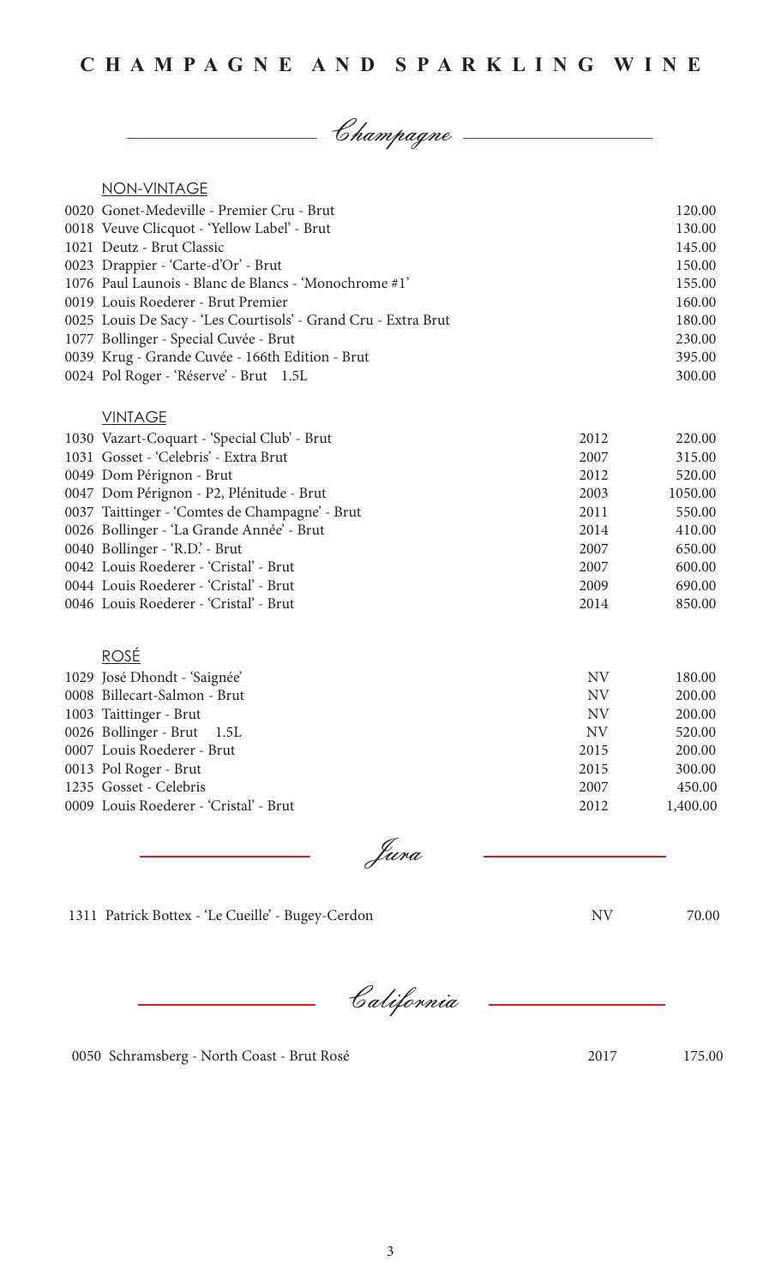

| <b>NON-VINTAGE</b>                                             |           |         |
|----------------------------------------------------------------|-----------|---------|
| 0020 Gonet-Medeville - Premier Cru - Brut                      |           | 120.00  |
| 0018 Veuve Clicquot - 'Yellow Label' - Brut                    |           | 130.00  |
| 1021 Deutz - Brut Classic                                      |           | 145.00  |
| 0023 Drappier - 'Carte-d'Or' - Brut                            |           | 150.00  |
| 1076 Paul Launois - Blanc de Blancs - 'Monochrome #1'          |           | 155.00  |
| 0019 Louis Roederer - Brut Premier                             |           | 160.00  |
| 0025 Louis De Sacy - 'Les Courtisols' - Grand Cru - Extra Brut |           | 180.00  |
| 1077 Bollinger - Special Cuvée - Brut                          |           | 230.00  |
| 0039 Krug - Grande Cuvée - 166th Edition - Brut                |           | 395.00  |
| 0024 Pol Roger - 'Réserve' - Brut 1.5L                         |           | 300.00  |
| <b>VINTAGE</b>                                                 |           |         |
| 1030 Vazart-Coquart - 'Special Club' - Brut                    | 2012      | 220.00  |
| 1031 Gosset - 'Celebris' - Extra Brut                          | 2007      | 315.00  |
| 0049 Dom Pérignon - Brut                                       | 2012      | 520.00  |
| 0047 Dom Pérignon - P2, Plénitude - Brut                       | 2003      | 1050.00 |
| 0037 Taittinger - 'Comtes de Champagne' - Brut                 | 2011      | 550.00  |
| 0026 Bollinger - 'La Grande Année' - Brut                      | 2014      | 410.00  |
| 0040 Bollinger - 'R.D.' - Brut                                 | 2007      | 650.00  |
| 0042 Louis Roederer - 'Cristal' - Brut                         | 2007      | 600.00  |
| 0044 Louis Roederer - 'Cristal' - Brut                         | 2009      | 690.00  |
| 0046 Louis Roederer - 'Cristal' - Brut                         | 2014      | 850.00  |
| <u>ROSÉ</u>                                                    |           |         |
| 1029 José Dhondt - 'Saignée'                                   | NV        | 180.00  |
| 0008 Billecart-Salmon - Brut                                   | <b>NV</b> | 200.00  |
| 1003 Taittinger - Brut                                         | NV        | 200.00  |
| 0026 Bollinger - Brut<br>1.5L                                  | <b>NV</b> | 520.00  |
| 0007 Louis Roederer - Brut                                     | 2015      | 200.00  |

Jura

1311 Patrick Bottex - 'Le Cueille' - Bugey-Cerdon NV 70.00

0013 Pol Roger - Brut 1235 Gosset - Celebris

Louis Roederer - 'Cristal' - Brut 0009

300.00 450.00 1,400.00

California

0050 Schramsberg - North Coast - Brut Rosé 2017 175.00

2015 2007 2012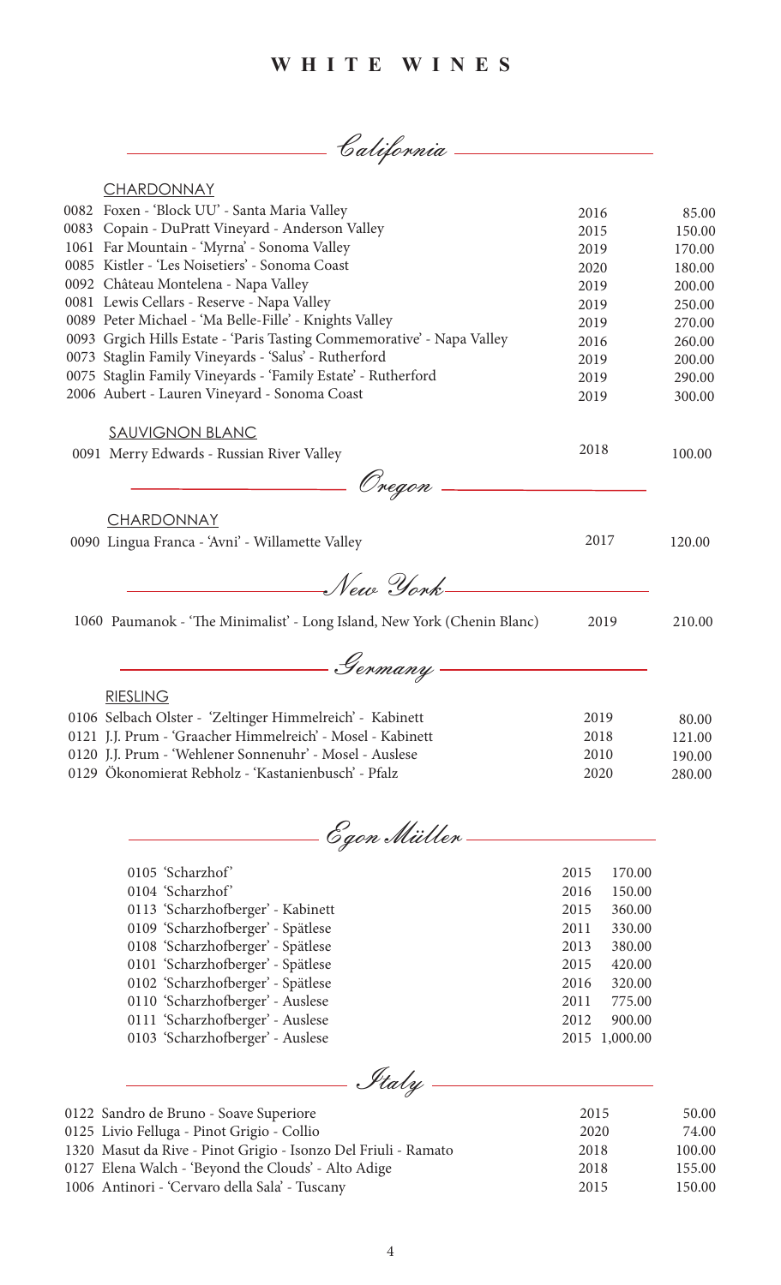California

| <b>CHARDONNAY</b>                                                       |      |        |
|-------------------------------------------------------------------------|------|--------|
| 0082 Foxen - 'Block UU' - Santa Maria Valley                            | 2016 | 85.00  |
| 0083 Copain - DuPratt Vineyard - Anderson Valley                        | 2015 | 150.00 |
| 1061 Far Mountain - 'Myrna' - Sonoma Valley                             | 2019 | 170.00 |
| 0085 Kistler - 'Les Noisetiers' - Sonoma Coast                          | 2020 | 180.00 |
| 0092 Château Montelena - Napa Valley                                    | 2019 | 200.00 |
| 0081 Lewis Cellars - Reserve - Napa Valley                              | 2019 | 250.00 |
| 0089 Peter Michael - 'Ma Belle-Fille' - Knights Valley                  | 2019 | 270.00 |
| 0093 Grgich Hills Estate - 'Paris Tasting Commemorative' - Napa Valley  | 2016 | 260.00 |
| 0073 Staglin Family Vineyards - 'Salus' - Rutherford                    | 2019 | 200.00 |
| 0075 Staglin Family Vineyards - 'Family Estate' - Rutherford            | 2019 | 290.00 |
| 2006 Aubert - Lauren Vineyard - Sonoma Coast                            | 2019 | 300.00 |
| <b>SAUVIGNON BLANC</b>                                                  |      |        |
| 0091 Merry Edwards - Russian River Valley                               | 2018 | 100.00 |
| Oregon                                                                  |      |        |
| <b>CHARDONNAY</b>                                                       |      |        |
| 0090 Lingua Franca - 'Avni' - Willamette Valley                         | 2017 | 120.00 |
| New York                                                                |      |        |
| 1060 Paumanok - 'The Minimalist' - Long Island, New York (Chenin Blanc) | 2019 | 210.00 |
| Germany                                                                 |      |        |
| <b>RIESLING</b>                                                         |      |        |
| 0106 Selbach Olster - 'Zeltinger Himmelreich' - Kabinett                | 2019 | 80.00  |
| 0121 J.J. Prum - 'Graacher Himmelreich' - Mosel - Kabinett              | 2018 | 121.00 |
| 0120 J.J. Prum - 'Wehlener Sonnenuhr' - Mosel - Auslese                 | 2010 | 190.00 |
| 0129 Ökonomierat Rebholz - 'Kastanienbusch' - Pfalz                     | 2020 | 280.00 |
|                                                                         |      |        |

Egon Müller

| 0105 'Scharzhof'                  | 2015 | 170.00        |
|-----------------------------------|------|---------------|
| 0104 'Scharzhof'                  | 2016 | 150.00        |
| 0113 'Scharzhofberger' - Kabinett | 2015 | 360.00        |
| 0109 'Scharzhofberger' - Spätlese | 2011 | 330.00        |
| 0108 'Scharzhofberger' - Spätlese | 2013 | 380.00        |
| 0101 'Scharzhofberger' - Spätlese | 2015 | 420.00        |
| 0102 'Scharzhofberger' - Spätlese | 2016 | 320.00        |
| 0110 'Scharzhofberger' - Auslese  | 2011 | 775.00        |
| 0111 'Scharzhofberger' - Auslese  | 2012 | 900.00        |
| 0103 'Scharzhofberger' - Auslese  |      | 2015 1,000.00 |

Italy

| 0122 Sandro de Bruno - Soave Superiore                         | 2015 | 50.00  |
|----------------------------------------------------------------|------|--------|
| 0125 Livio Felluga - Pinot Grigio - Collio                     | 2020 | 74.00  |
| 1320 Masut da Rive - Pinot Grigio - Isonzo Del Friuli - Ramato | 2018 | 100.00 |
| 0127 Elena Walch - 'Beyond the Clouds' - Alto Adige            | 2018 | 155.00 |
| 1006 Antinori - 'Cervaro della Sala' - Tuscany                 | 2015 | 150.00 |
|                                                                |      |        |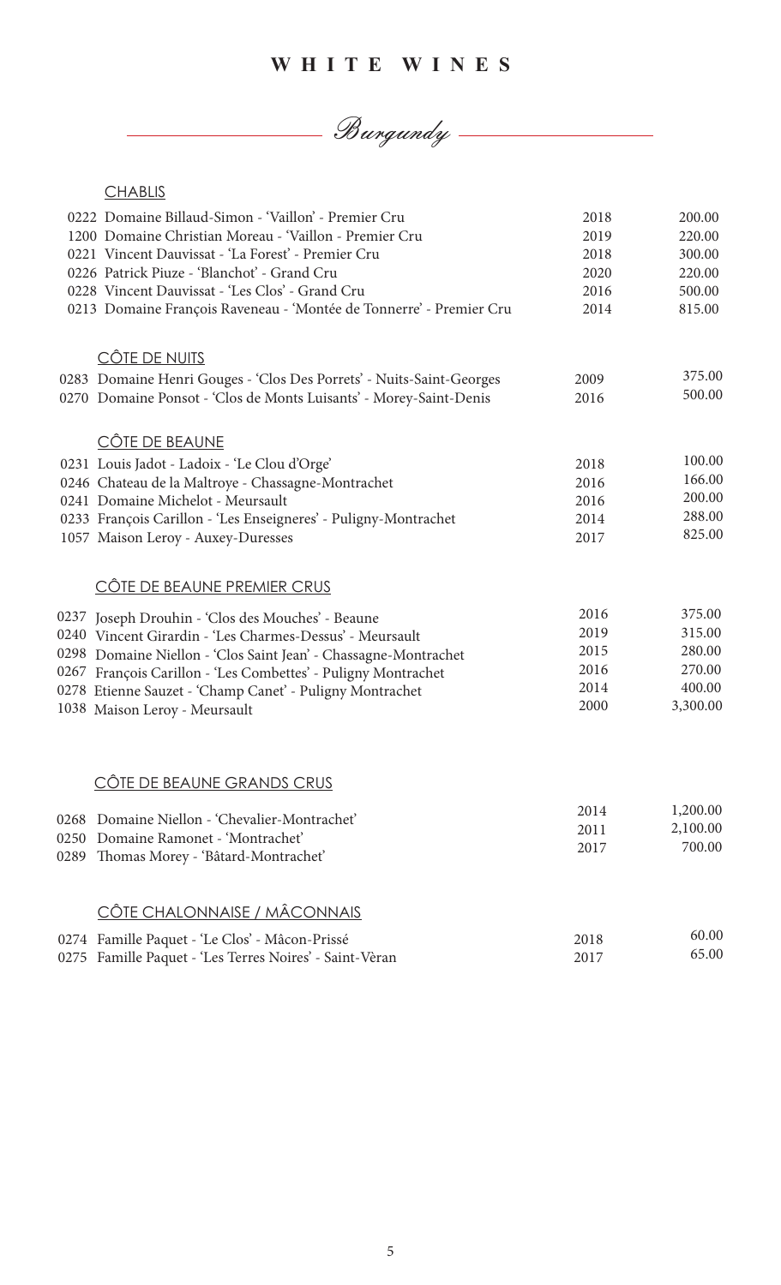## Burgundy

#### **CHABLIS**

|      | 0222 Domaine Billaud-Simon - 'Vaillon' - Premier Cru                 | 2018 | 200.00   |
|------|----------------------------------------------------------------------|------|----------|
|      | 1200 Domaine Christian Moreau - 'Vaillon - Premier Cru               | 2019 | 220.00   |
|      | 0221 Vincent Dauvissat - 'La Forest' - Premier Cru                   | 2018 | 300.00   |
|      | 0226 Patrick Piuze - 'Blanchot' - Grand Cru                          | 2020 | 220.00   |
|      | 0228 Vincent Dauvissat - 'Les Clos' - Grand Cru                      | 2016 | 500.00   |
|      | 0213 Domaine François Raveneau - 'Montée de Tonnerre' - Premier Cru  | 2014 | 815.00   |
|      | CÔTE DE NUITS                                                        |      |          |
|      | 0283 Domaine Henri Gouges - 'Clos Des Porrets' - Nuits-Saint-Georges | 2009 | 375.00   |
|      | 0270 Domaine Ponsot - 'Clos de Monts Luisants' - Morey-Saint-Denis   | 2016 | 500.00   |
|      | <u>CÔTE DE BEAUNE</u>                                                |      |          |
|      | 0231 Louis Jadot - Ladoix - 'Le Clou d'Orge'                         | 2018 | 100.00   |
|      | 0246 Chateau de la Maltroye - Chassagne-Montrachet                   | 2016 | 166.00   |
|      | 0241 Domaine Michelot - Meursault                                    | 2016 | 200.00   |
|      | 0233 François Carillon - 'Les Enseigneres' - Puligny-Montrachet      | 2014 | 288.00   |
|      | 1057 Maison Leroy - Auxey-Duresses                                   | 2017 | 825.00   |
|      | CÔTE DE BEAUNE PREMIER CRUS                                          |      |          |
|      | 0237 Joseph Drouhin - 'Clos des Mouches' - Beaune                    | 2016 | 375.00   |
|      | 0240 Vincent Girardin - 'Les Charmes-Dessus' - Meursault             | 2019 | 315.00   |
|      | 0298 Domaine Niellon - 'Clos Saint Jean' - Chassagne-Montrachet      | 2015 | 280.00   |
|      | 0267 François Carillon - 'Les Combettes' - Puligny Montrachet        | 2016 | 270.00   |
|      | 0278 Etienne Sauzet - 'Champ Canet' - Puligny Montrachet             | 2014 | 400.00   |
|      | 1038 Maison Leroy - Meursault                                        | 2000 | 3,300.00 |
|      |                                                                      |      |          |
|      | <u>CÔTE DE BEAUNE GRANDS CRUS</u>                                    |      |          |
|      |                                                                      | 2014 | 1,200.00 |
| 0268 | Domaine Niellon - 'Chevalier-Montrachet'                             | 2011 | 2,100.00 |
|      | 0250 Domaine Ramonet - 'Montrachet'                                  | 2017 | 700.00   |
| 0289 | Thomas Morey - 'Bâtard-Montrachet'                                   |      |          |
|      | <u>CÔTE CHALONNAISE / MÂCONNAIS</u>                                  |      |          |
|      | 0274 Famille Paquet - 'Le Clos' - Mâcon-Prissé                       | 2018 | 60.00    |
|      | 0275 Famille Paquet - 'Les Terres Noires' - Saint-Vèran              | 2017 | 65.00    |
|      |                                                                      |      |          |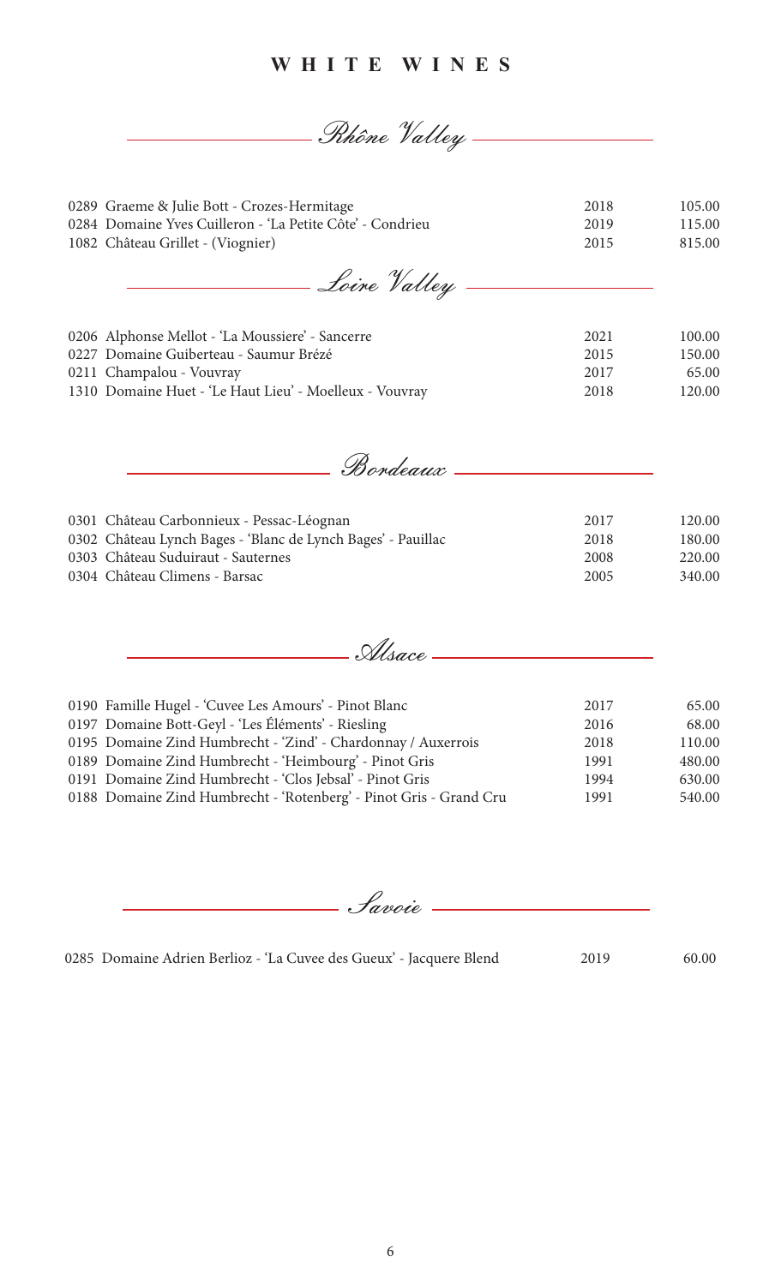Rhône Valley-

Loire Valley 0206 Alphonse Mellot - 'La Moussiere' - Sancerre 0227 Domaine Guiberteau - Saumur Brézé 0211 Champalou - Vouvray 1310 Domaine Huet - 'Le Haut Lieu' - Moelleux - Vouvray 2021 2015 2017 2018 100.00 150.00 65.00 120.00 0289 Graeme & Julie Bott - Crozes-Hermitage Domaine Yves Cuilleron - 'La Petite Côte' - Condrieu 0284 1082 Château Grillet - (Viognier) 2018 2019 2015 105.00 115.00 815.00

| 0301 Château Carbonnieux - Pessac-Léognan                                                          | 2017         | 120.00           |
|----------------------------------------------------------------------------------------------------|--------------|------------------|
| 0302 Château Lynch Bages - 'Blanc de Lynch Bages' - Pauillac<br>0303 Château Suduiraut - Sauternes | 2018<br>2008 | 180.00<br>220.00 |
| 0304 Château Climens - Barsac                                                                      | 2005         | 340.00           |

Bordeaux

Alsace

| 0190 Famille Hugel - 'Cuvee Les Amours' - Pinot Blanc              | 2017 | 65.00  |
|--------------------------------------------------------------------|------|--------|
| 0197 Domaine Bott-Geyl - 'Les Éléments' - Riesling                 | 2016 | 68.00  |
| 0195 Domaine Zind Humbrecht - 'Zind' - Chardonnay / Auxerrois      | 2018 | 110.00 |
| 0189 Domaine Zind Humbrecht - 'Heimbourg' - Pinot Gris             | 1991 | 480.00 |
| 0191 Domaine Zind Humbrecht - 'Clos Jebsal' - Pinot Gris           | 1994 | 630.00 |
| 0188 Domaine Zind Humbrecht - 'Rotenberg' - Pinot Gris - Grand Cru | 1991 | 540.00 |

Savoie

0285 Domaine Adrien Berlioz - 'La Cuvee des Gueux' - Jacquere Blend 2019 60.00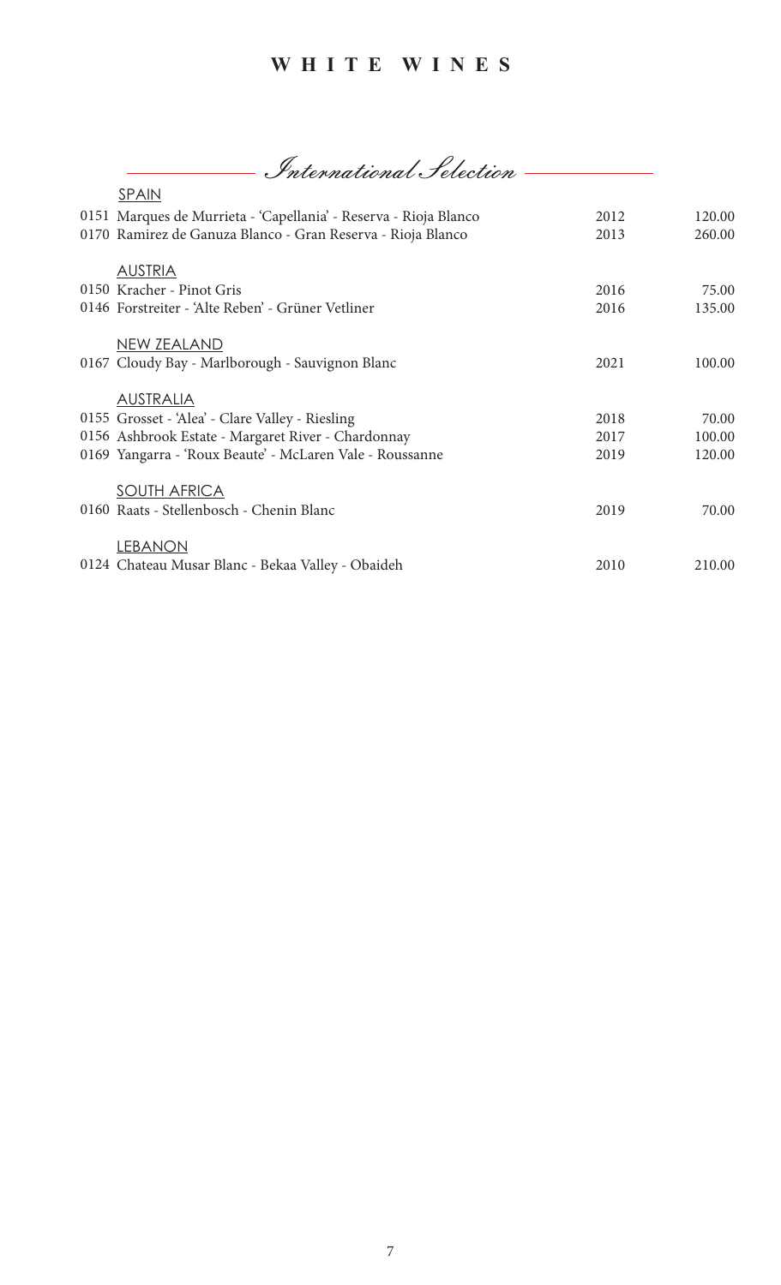International Selection

| <b>SPAIN</b>                                                     |      |        |
|------------------------------------------------------------------|------|--------|
| 0151 Marques de Murrieta - 'Capellania' - Reserva - Rioja Blanco | 2012 | 120.00 |
| 0170 Ramirez de Ganuza Blanco - Gran Reserva - Rioja Blanco      | 2013 | 260.00 |
|                                                                  |      |        |
| <b>AUSTRIA</b>                                                   |      |        |
| 0150 Kracher - Pinot Gris                                        | 2016 | 75.00  |
| 0146 Forstreiter - 'Alte Reben' - Grüner Vetliner                | 2016 | 135.00 |
|                                                                  |      |        |
| NEW ZEALAND                                                      |      |        |
| 0167 Cloudy Bay - Marlborough - Sauvignon Blanc                  | 2021 | 100.00 |
|                                                                  |      |        |
| <b>AUSTRALIA</b>                                                 |      |        |
| 0155 Grosset - 'Alea' - Clare Valley - Riesling                  | 2018 | 70.00  |
| 0156 Ashbrook Estate - Margaret River - Chardonnay               | 2017 | 100.00 |
| 0169 Yangarra - 'Roux Beaute' - McLaren Vale - Roussanne         | 2019 | 120.00 |
|                                                                  |      |        |
| SOUTH AFRICA                                                     |      |        |
| 0160 Raats - Stellenbosch - Chenin Blanc                         | 2019 | 70.00  |
|                                                                  |      |        |
| <b>LEBANON</b>                                                   |      |        |
| 0124 Chateau Musar Blanc - Bekaa Valley - Obaideh                | 2010 | 210.00 |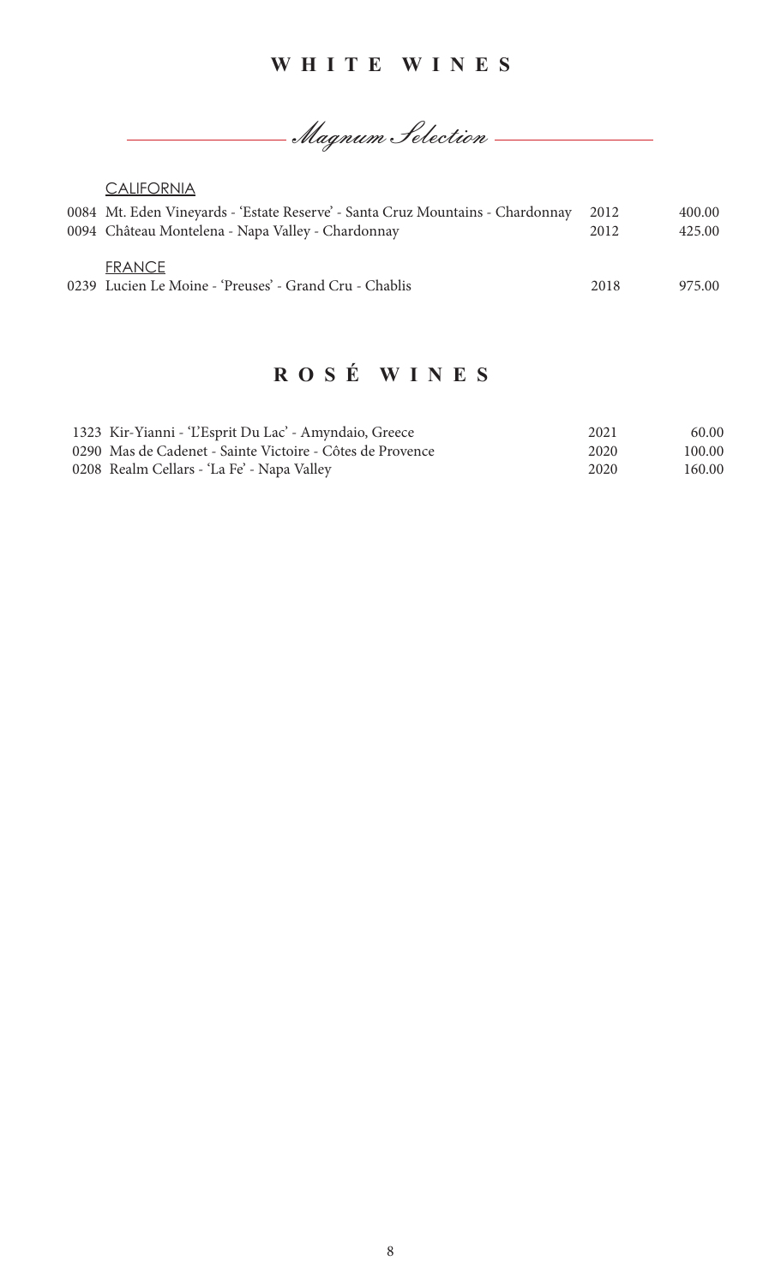Magnum Selection

**CALIFORNIA** 

| 0084 Mt. Eden Vineyards - 'Estate Reserve' - Santa Cruz Mountains - Chardonnay | 2012 | 400.00 |
|--------------------------------------------------------------------------------|------|--------|
| 0094 Château Montelena - Napa Valley - Chardonnay                              | 2012 | 425.00 |
| <b>FRANCE</b><br>0239 Lucien Le Moine - 'Preuses' - Grand Cru - Chablis        | 2018 |        |

## **R O S É W I N E S**

| 1323 Kir-Yianni - 'L'Esprit Du Lac' - Amyndaio, Greece    | 2021 | 60.00  |
|-----------------------------------------------------------|------|--------|
| 0290 Mas de Cadenet - Sainte Victoire - Côtes de Provence | 2020 | 100.00 |
| 0208 Realm Cellars - 'La Fe' - Napa Valley                | 2020 | 160.00 |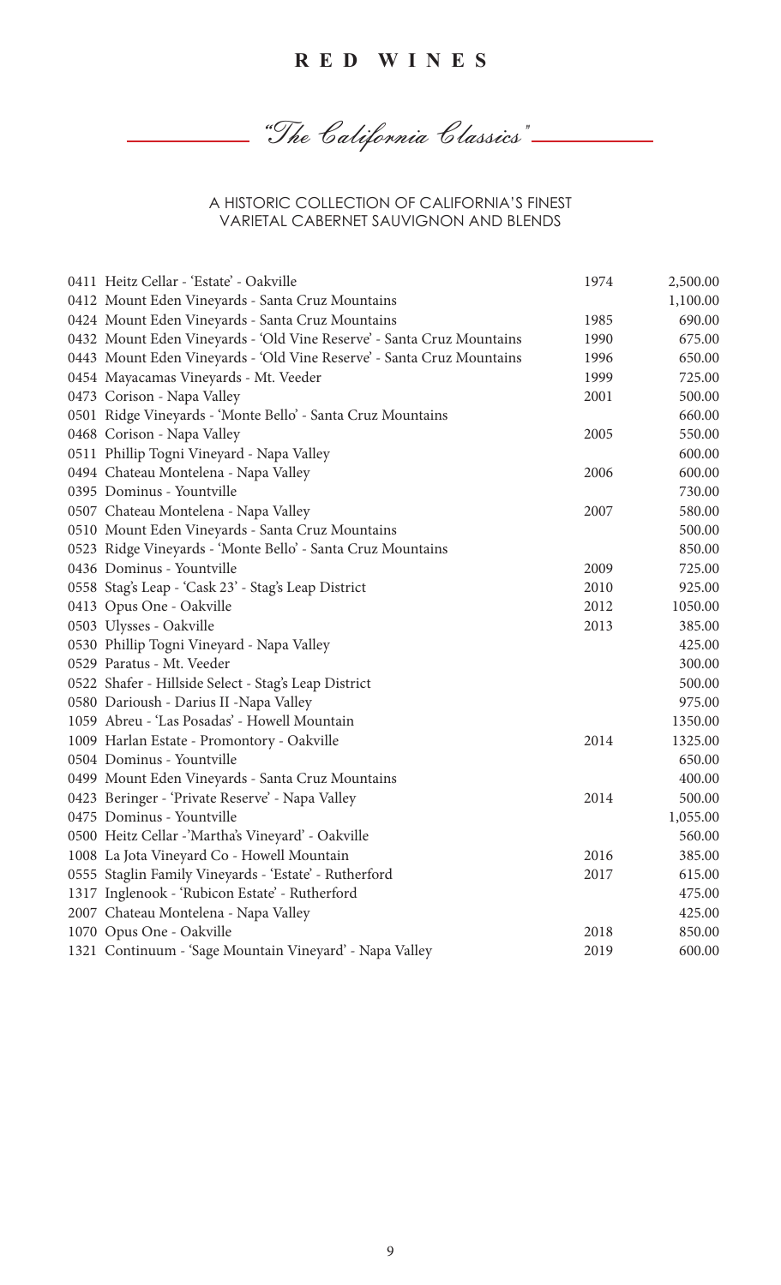"The California Classics"  $\mathbb{R}$ 

A HISTORIC COLLECTION OF CALIFORNIA'S FINEST VARIETAL CABERNET SAUVIGNON AND BLENDS

| 0411 Heitz Cellar - 'Estate' - Oakville                               | 1974 | 2,500.00 |
|-----------------------------------------------------------------------|------|----------|
| 0412 Mount Eden Vineyards - Santa Cruz Mountains                      |      | 1,100.00 |
| 0424 Mount Eden Vineyards - Santa Cruz Mountains                      | 1985 | 690.00   |
| 0432 Mount Eden Vineyards - 'Old Vine Reserve' - Santa Cruz Mountains | 1990 | 675.00   |
| 0443 Mount Eden Vineyards - 'Old Vine Reserve' - Santa Cruz Mountains | 1996 | 650.00   |
| 0454 Mayacamas Vineyards - Mt. Veeder                                 | 1999 | 725.00   |
| 0473 Corison - Napa Valley                                            | 2001 | 500.00   |
| 0501 Ridge Vineyards - 'Monte Bello' - Santa Cruz Mountains           |      | 660.00   |
| 0468 Corison - Napa Valley                                            | 2005 | 550.00   |
| 0511 Phillip Togni Vineyard - Napa Valley                             |      | 600.00   |
| 0494 Chateau Montelena - Napa Valley                                  | 2006 | 600.00   |
| 0395 Dominus - Yountville                                             |      | 730.00   |
| 0507 Chateau Montelena - Napa Valley                                  | 2007 | 580.00   |
| 0510 Mount Eden Vineyards - Santa Cruz Mountains                      |      | 500.00   |
| 0523 Ridge Vineyards - 'Monte Bello' - Santa Cruz Mountains           |      | 850.00   |
| 0436 Dominus - Yountville                                             | 2009 | 725.00   |
| 0558 Stag's Leap - 'Cask 23' - Stag's Leap District                   | 2010 | 925.00   |
| 0413 Opus One - Oakville                                              | 2012 | 1050.00  |
| 0503 Ulysses - Oakville                                               | 2013 | 385.00   |
| 0530 Phillip Togni Vineyard - Napa Valley                             |      | 425.00   |
| 0529 Paratus - Mt. Veeder                                             |      | 300.00   |
| 0522 Shafer - Hillside Select - Stag's Leap District                  |      | 500.00   |
| 0580 Darioush - Darius II - Napa Valley                               |      | 975.00   |
| 1059 Abreu - 'Las Posadas' - Howell Mountain                          |      | 1350.00  |
| 1009 Harlan Estate - Promontory - Oakville                            | 2014 | 1325.00  |
| 0504 Dominus - Yountville                                             |      | 650.00   |
| 0499 Mount Eden Vineyards - Santa Cruz Mountains                      |      | 400.00   |
| 0423 Beringer - 'Private Reserve' - Napa Valley                       | 2014 | 500.00   |
| 0475 Dominus - Yountville                                             |      | 1,055.00 |
| 0500 Heitz Cellar -'Martha's Vineyard' - Oakville                     |      | 560.00   |
| 1008 La Jota Vineyard Co - Howell Mountain                            | 2016 | 385.00   |
| 0555 Staglin Family Vineyards - 'Estate' - Rutherford                 | 2017 | 615.00   |
| 1317 Inglenook - 'Rubicon Estate' - Rutherford                        |      | 475.00   |
| 2007 Chateau Montelena - Napa Valley                                  |      | 425.00   |
| 1070 Opus One - Oakville                                              | 2018 | 850.00   |
| 1321 Continuum - 'Sage Mountain Vineyard' - Napa Valley               | 2019 | 600.00   |
|                                                                       |      |          |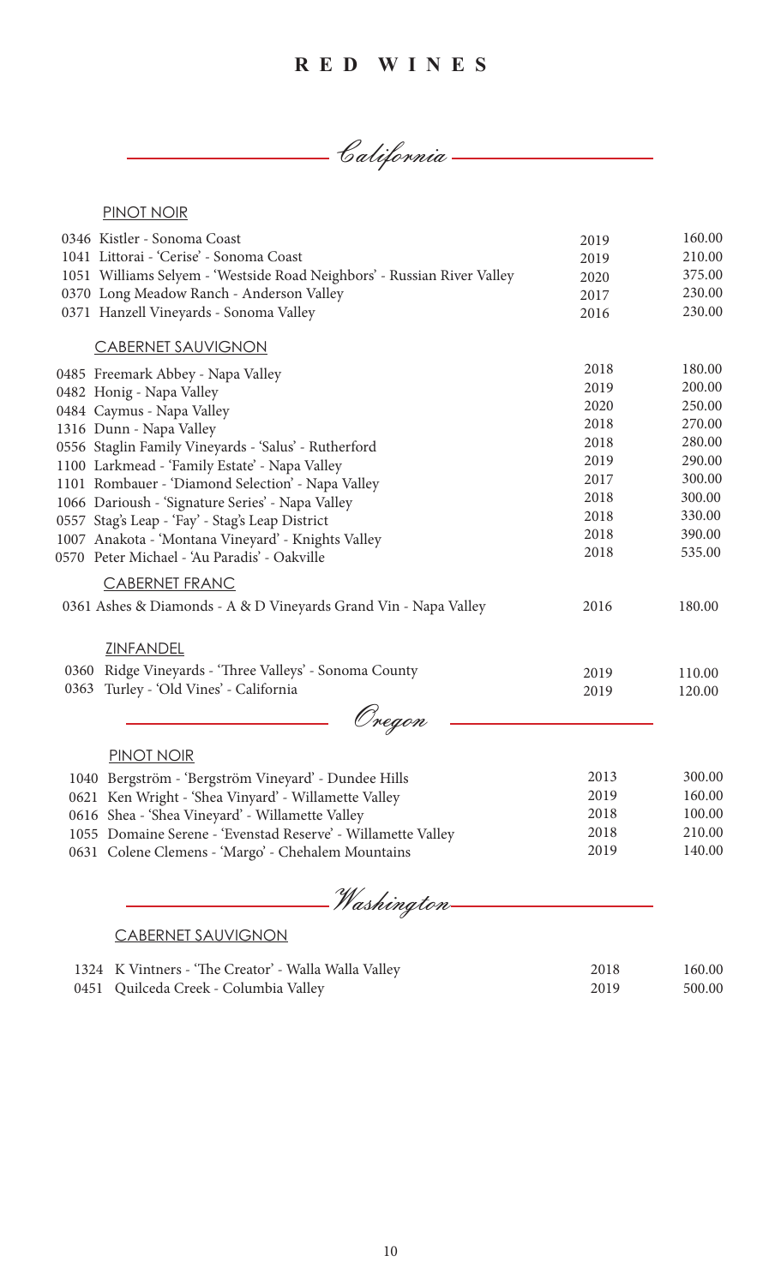California

#### PINOT NOIR

| 0346 Kistler - Sonoma Coast                                             | 2019 | 160.00 |
|-------------------------------------------------------------------------|------|--------|
| 1041 Littorai - 'Cerise' - Sonoma Coast                                 | 2019 | 210.00 |
| 1051 Williams Selyem - 'Westside Road Neighbors' - Russian River Valley | 2020 | 375.00 |
| 0370 Long Meadow Ranch - Anderson Valley                                | 2017 | 230.00 |
| 0371 Hanzell Vineyards - Sonoma Valley                                  | 2016 | 230.00 |
| <b>CABERNET SAUVIGNON</b>                                               |      |        |
| 0485 Freemark Abbey - Napa Valley                                       | 2018 | 180.00 |
| 0482 Honig - Napa Valley                                                | 2019 | 200.00 |
| 0484 Caymus - Napa Valley                                               | 2020 | 250.00 |
| 1316 Dunn - Napa Valley                                                 | 2018 | 270.00 |
| 0556 Staglin Family Vineyards - 'Salus' - Rutherford                    | 2018 | 280.00 |
| 1100 Larkmead - 'Family Estate' - Napa Valley                           | 2019 | 290.00 |
| 1101 Rombauer - 'Diamond Selection' - Napa Valley                       | 2017 | 300.00 |
| 1066 Darioush - 'Signature Series' - Napa Valley                        | 2018 | 300.00 |
| 0557 Stag's Leap - 'Fay' - Stag's Leap District                         | 2018 | 330.00 |
| 1007 Anakota - 'Montana Vineyard' - Knights Valley                      | 2018 | 390.00 |
| 0570 Peter Michael - 'Au Paradis' - Oakville                            | 2018 | 535.00 |
| <b>CABERNET FRANC</b>                                                   |      |        |
| 0361 Ashes & Diamonds - A & D Vineyards Grand Vin - Napa Valley         | 2016 | 180.00 |
| <b>ZINFANDEL</b>                                                        |      |        |
| 0360 Ridge Vineyards - 'Three Valleys' - Sonoma County                  | 2019 | 110.00 |
| Turley - 'Old Vines' - California<br>0363                               | 2019 | 120.00 |
| Oregon                                                                  |      |        |
| <b>PINOT NOIR</b>                                                       |      |        |
| 1040 Bergström - 'Bergström Vineyard' - Dundee Hills                    | 2013 | 300.00 |
| 0621 Ken Wright - 'Shea Vinyard' - Willamette Valley                    | 2019 | 160.00 |
| 0616 Shea - 'Shea Vineyard' - Willamette Valley                         | 2018 | 100.00 |
| 1055 Domaine Serene - 'Evenstad Reserve' - Willamette Valley            | 2018 | 210.00 |
| 0631 Colene Clemens - 'Margo' - Chehalem Mountains                      | 2019 | 140.00 |

Washington

#### CABERNET SAUVIGNON

| 1324 K Vintners - 'The Creator' - Walla Walla Valley | 2018 | 160.00 |
|------------------------------------------------------|------|--------|
| 0451 Quilceda Creek - Columbia Valley                | 2019 | 500.00 |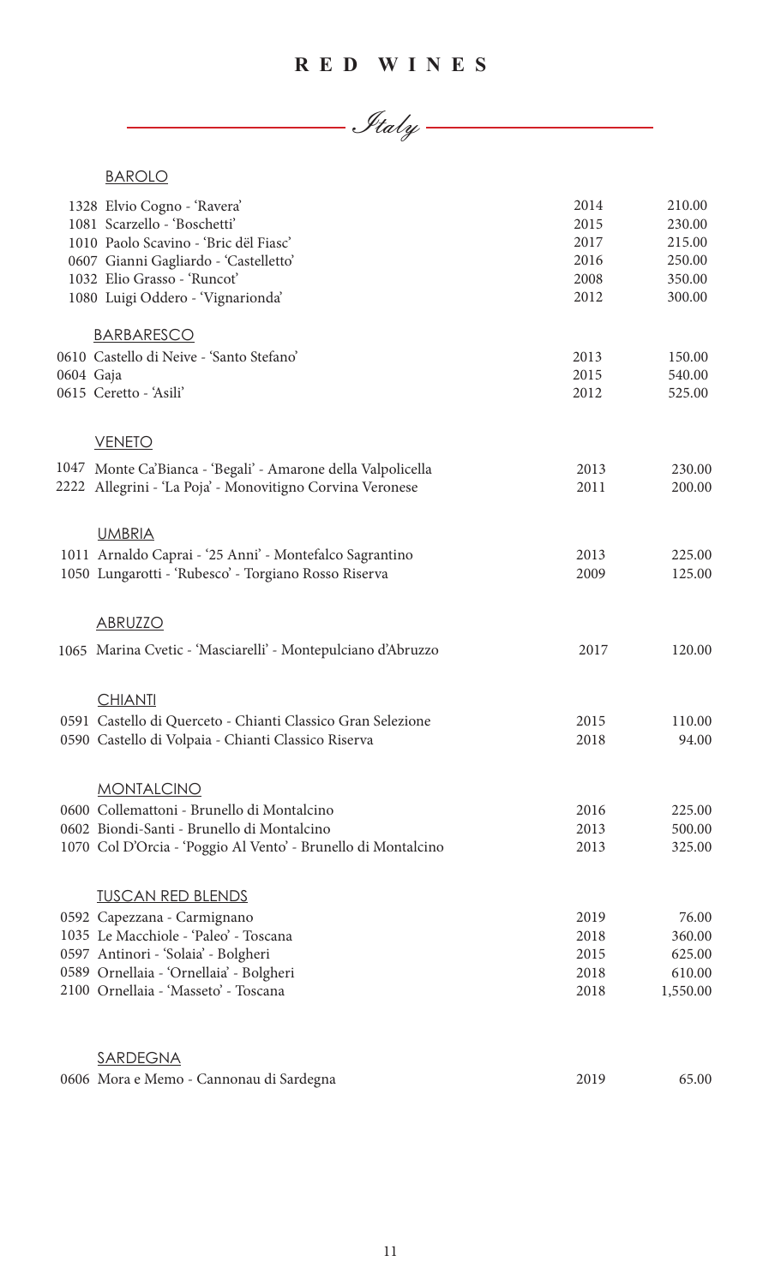$\mathscr{I}$ taly

## BAROLO

|           | 1328 Elvio Cogno - 'Ravera'                                   | 2014 | 210.00   |
|-----------|---------------------------------------------------------------|------|----------|
|           | 1081 Scarzello - 'Boschetti'                                  | 2015 | 230.00   |
|           | 1010 Paolo Scavino - 'Bric dël Fiasc'                         | 2017 | 215.00   |
|           | 0607 Gianni Gagliardo - 'Castelletto'                         | 2016 | 250.00   |
|           | 1032 Elio Grasso - 'Runcot'                                   | 2008 | 350.00   |
|           | 1080 Luigi Oddero - 'Vignarionda'                             | 2012 | 300.00   |
|           | <b>BARBARESCO</b>                                             |      |          |
|           | 0610 Castello di Neive - 'Santo Stefano'                      | 2013 | 150.00   |
| 0604 Gaja |                                                               | 2015 | 540.00   |
|           | 0615 Ceretto - 'Asili'                                        | 2012 | 525.00   |
|           | <b>VENETO</b>                                                 |      |          |
|           | 1047 Monte Ca'Bianca - 'Begali' - Amarone della Valpolicella  | 2013 | 230.00   |
|           | 2222 Allegrini - 'La Poja' - Monovitigno Corvina Veronese     | 2011 | 200.00   |
|           | <b>UMBRIA</b>                                                 |      |          |
|           | 1011 Arnaldo Caprai - '25 Anni' - Montefalco Sagrantino       | 2013 | 225.00   |
|           | 1050 Lungarotti - 'Rubesco' - Torgiano Rosso Riserva          | 2009 | 125.00   |
|           |                                                               |      |          |
|           | <b>ABRUZZO</b>                                                |      |          |
|           | 1065 Marina Cvetic - 'Masciarelli' - Montepulciano d'Abruzzo  | 2017 | 120.00   |
|           | <b>CHIANTI</b>                                                |      |          |
|           | 0591 Castello di Querceto - Chianti Classico Gran Selezione   | 2015 | 110.00   |
|           | 0590 Castello di Volpaia - Chianti Classico Riserva           | 2018 | 94.00    |
|           |                                                               |      |          |
|           | <b>MONTALCINO</b>                                             |      |          |
|           | 0600 Collemattoni - Brunello di Montalcino                    | 2016 | 225.00   |
|           | 0602 Biondi-Santi - Brunello di Montalcino                    | 2013 | 500.00   |
|           | 1070 Col D'Orcia - 'Poggio Al Vento' - Brunello di Montalcino | 2013 | 325.00   |
|           | <b>TUSCAN RED BLENDS</b>                                      |      |          |
|           | 0592 Capezzana - Carmignano                                   | 2019 | 76.00    |
|           | 1035 Le Macchiole - 'Paleo' - Toscana                         | 2018 | 360.00   |
|           | 0597 Antinori - 'Solaia' - Bolgheri                           | 2015 | 625.00   |
|           | 0589 Ornellaia - 'Ornellaia' - Bolgheri                       | 2018 | 610.00   |
|           | 2100 Ornellaia - 'Masseto' - Toscana                          | 2018 | 1,550.00 |
|           |                                                               |      |          |
|           | <b>SARDEGNA</b>                                               |      |          |
|           | 0606 Mora e Memo - Cannonau di Sardegna                       | 2019 | 65.00    |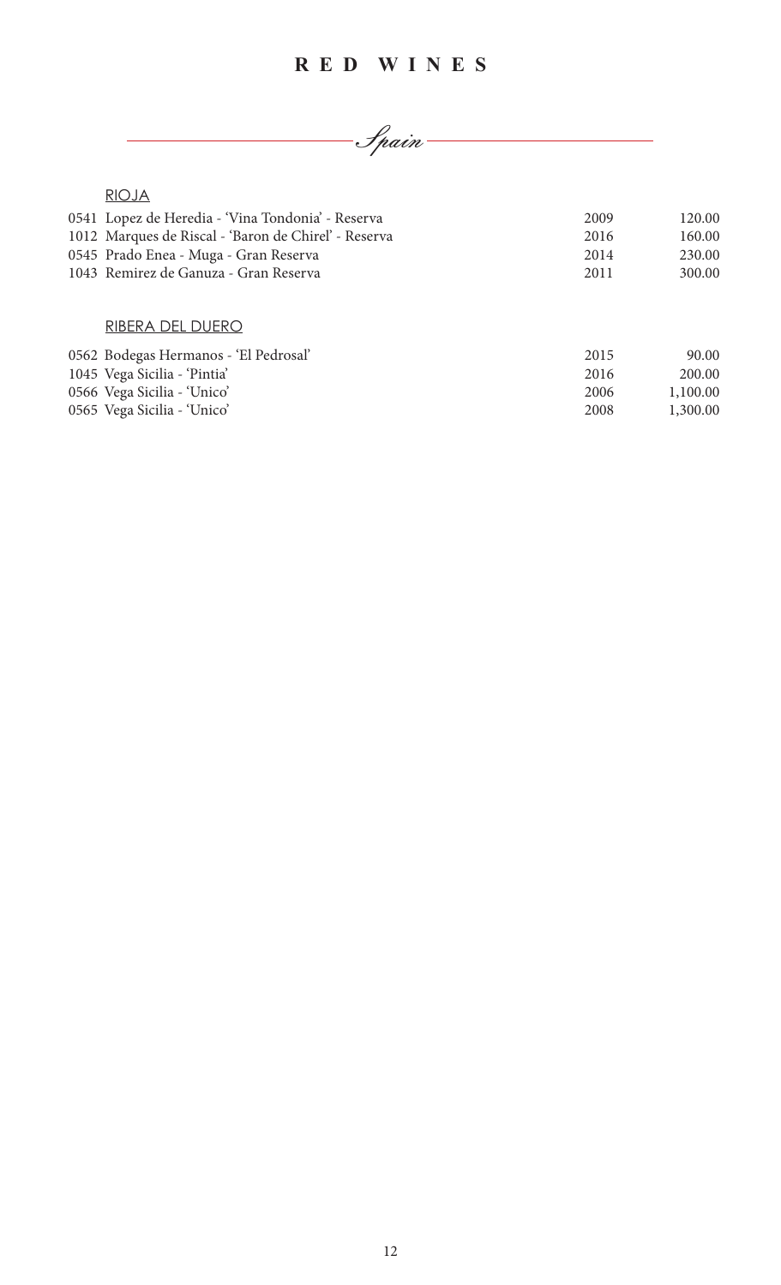

RIOJA

| 0541 Lopez de Heredia - 'Vina Tondonia' - Reserva    | 2009 | 120.00 |
|------------------------------------------------------|------|--------|
| 1012 Marques de Riscal - 'Baron de Chirel' - Reserva | 2016 | 160.00 |
| 0545 Prado Enea - Muga - Gran Reserva                | 2014 | 230.00 |
| 1043 Remirez de Ganuza - Gran Reserva                | 2011 | 300.00 |
|                                                      |      |        |

#### RIBERA DEL DUERO

| 0562 Bodegas Hermanos - 'El Pedrosal' | 2015 | 90.00    |
|---------------------------------------|------|----------|
| 1045 Vega Sicilia - 'Pintia'          | 2016 | 200.00   |
| 0566 Vega Sicilia - 'Unico'           | 2006 | 1,100.00 |
| 0565 Vega Sicilia - 'Unico'           | 2008 | 1,300.00 |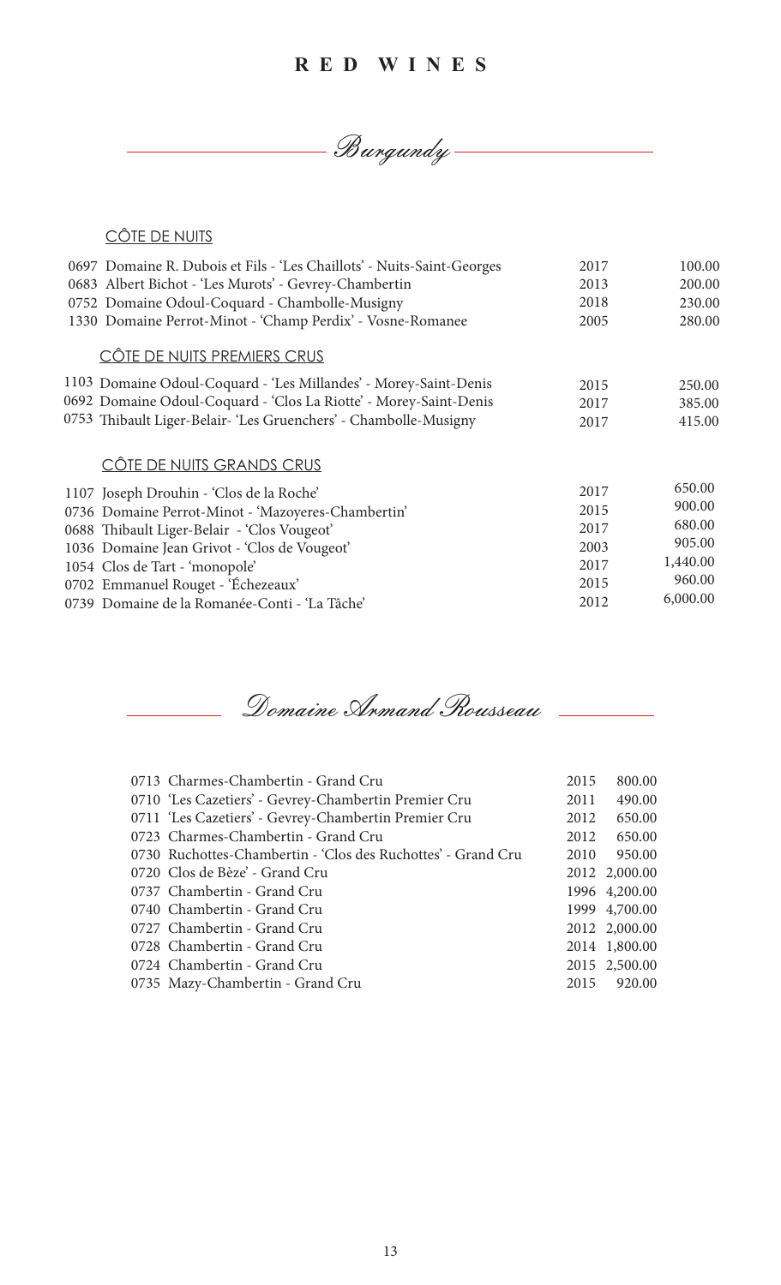Burgundy

## CÔTE DE NUITS

| 0697 Domaine R. Dubois et Fils - 'Les Chaillots' - Nuits-Saint-Georges | 2017 | 100.00   |
|------------------------------------------------------------------------|------|----------|
| 0683 Albert Bichot - 'Les Murots' - Gevrey-Chambertin                  | 2013 | 200.00   |
| 0752 Domaine Odoul-Coquard - Chambolle-Musigny                         | 2018 | 230.00   |
| 1330 Domaine Perrot-Minot - 'Champ Perdix' - Vosne-Romanee             | 2005 | 280.00   |
| CÔTE DE NUITS PREMIERS CRUS                                            |      |          |
| 1103 Domaine Odoul-Coquard - 'Les Millandes' - Morey-Saint-Denis       | 2015 | 250.00   |
| 0692 Domaine Odoul-Coquard - 'Clos La Riotte' - Morey-Saint-Denis      | 2017 | 385.00   |
| 0753 Thibault Liger-Belair- 'Les Gruenchers' - Chambolle-Musigny       | 2017 | 415.00   |
| CÔTE DE NUITS GRANDS CRUS                                              |      |          |
| 1107 Joseph Drouhin - 'Clos de la Roche'                               | 2017 | 650.00   |
| 0736 Domaine Perrot-Minot - 'Mazoyeres-Chambertin'                     | 2015 | 900.00   |
| 0688 Thibault Liger-Belair - 'Clos Vougeot'                            | 2017 | 680.00   |
| 1036 Domaine Jean Grivot - 'Clos de Vougeot'                           | 2003 | 905.00   |
| 1054 Clos de Tart - 'monopole'                                         | 2017 | 1,440.00 |
| 0702 Emmanuel Rouget - 'Échezeaux'                                     | 2015 | 960.00   |
| 0739 Domaine de la Romanée-Conti - 'La Tâche'                          | 2012 | 6,000.00 |
|                                                                        |      |          |

Domaine Armand Rousseau 

| 0713 Charmes-Chambertin - Grand Cru                          | 2015 | 800.00        |
|--------------------------------------------------------------|------|---------------|
| 0710 'Les Cazetiers' - Gevrey-Chambertin Premier Cru         | 2011 | 490.00        |
| 0711 'Les Cazetiers' - Gevrey-Chambertin Premier Cru         | 2012 | 650.00        |
| 0723 Charmes-Chambertin - Grand Cru                          | 2012 | 650.00        |
| 0730 Ruchottes-Chambertin - 'Clos des Ruchottes' - Grand Cru | 2010 | 950.00        |
| 0720 Clos de Bèze' - Grand Cru                               |      | 2012 2,000.00 |
| 0737 Chambertin - Grand Cru                                  |      | 1996 4,200.00 |
| 0740 Chambertin - Grand Cru                                  |      | 1999 4,700.00 |
| 0727 Chambertin - Grand Cru                                  |      | 2012 2,000.00 |
| 0728 Chambertin - Grand Cru                                  |      | 2014 1,800.00 |
| 0724 Chambertin - Grand Cru                                  |      | 2015 2,500.00 |
| 0735 Mazy-Chambertin - Grand Cru                             |      | 2015 920.00   |
|                                                              |      |               |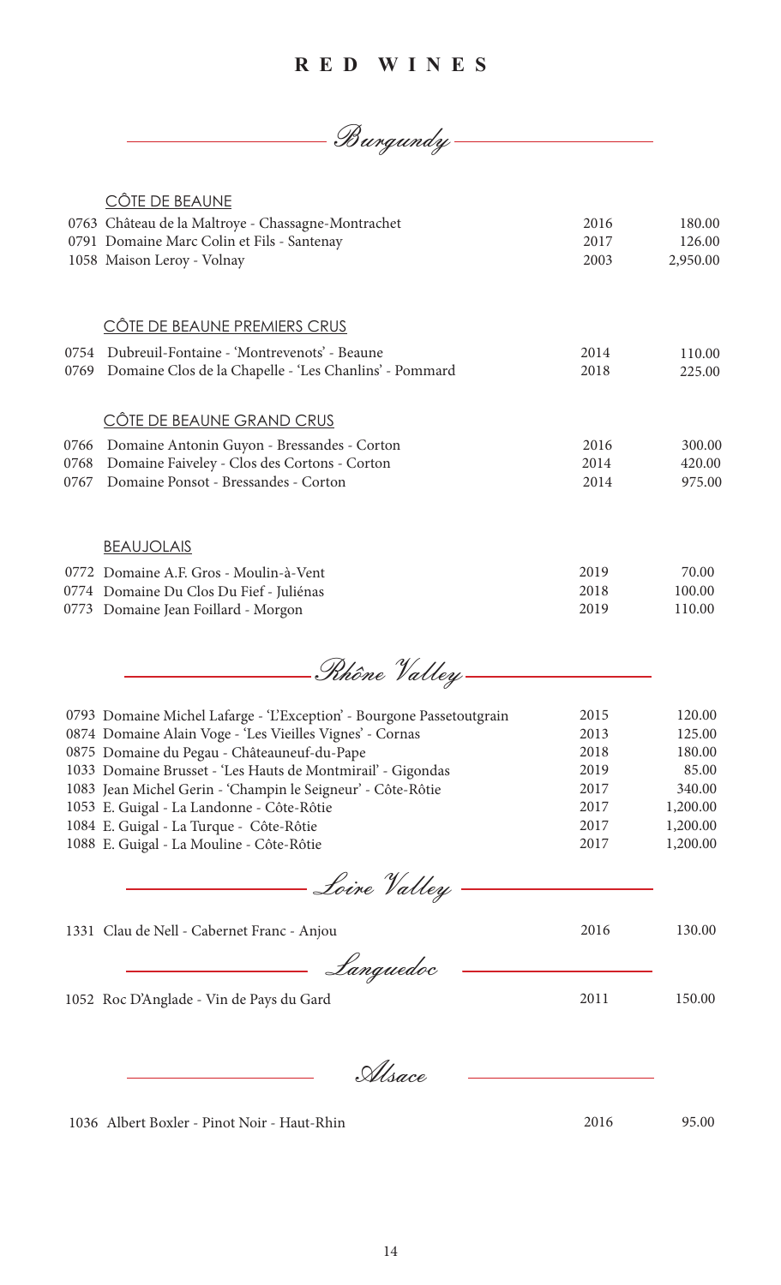Burgundy

|      | CÔTE DE BEAUNE                                         |      |          |
|------|--------------------------------------------------------|------|----------|
|      | 0763 Château de la Maltroye - Chassagne-Montrachet     | 2016 | 180.00   |
|      | 0791 Domaine Marc Colin et Fils - Santenay             | 2017 | 126.00   |
|      | 1058 Maison Leroy - Volnay                             | 2003 | 2,950.00 |
|      | CÔTE DE BEAUNE PREMIERS CRUS                           |      |          |
| 0754 | Dubreuil-Fontaine - 'Montrevenots' - Beaune            | 2014 | 110.00   |
| 0769 | Domaine Clos de la Chapelle - 'Les Chanlins' - Pommard | 2018 | 225.00   |
|      | CÔTE DE BEAUNE GRAND CRUS                              |      |          |
| 0766 | Domaine Antonin Guyon - Bressandes - Corton            | 2016 | 300.00   |
| 0768 | Domaine Faiveley - Clos des Cortons - Corton           | 2014 | 420.00   |
| 0767 | Domaine Ponsot - Bressandes - Corton                   | 2014 | 975.00   |
|      | <b>BEAUJOLAIS</b>                                      |      |          |
|      | 0772 Domaine A.F. Gros - Moulin-à-Vent                 | 2019 | 70.00    |
|      | 0774 Domaine Du Clos Du Fief - Juliénas                | 2018 | 100.00   |
|      | 0773 Domaine Jean Foillard - Morgon                    | 2019 | 110.00   |

0773 Domaine Jean Foillard - Morgon

| Rhône Valley                                                          |      |          |
|-----------------------------------------------------------------------|------|----------|
| 0793 Domaine Michel Lafarge - 'L'Exception' - Bourgone Passetoutgrain | 2015 | 120.00   |
| 0874 Domaine Alain Voge - 'Les Vieilles Vignes' - Cornas              | 2013 | 125.00   |
| 0875 Domaine du Pegau - Châteauneuf-du-Pape                           | 2018 | 180.00   |
| 1033 Domaine Brusset - 'Les Hauts de Montmirail' - Gigondas           | 2019 | 85.00    |
| 1083 Jean Michel Gerin - 'Champin le Seigneur' - Côte-Rôtie           | 2017 | 340.00   |
| 1053 E. Guigal - La Landonne - Côte-Rôtie                             | 2017 | 1,200.00 |
| 1084 E. Guigal - La Turque - Côte-Rôtie                               | 2017 | 1,200.00 |
| 1088 E. Guigal - La Mouline - Côte-Rôtie                              | 2017 | 1,200.00 |
| Loire Valley                                                          |      |          |
| 1331 Clau de Nell - Cabernet Franc - Anjou                            | 2016 | 130.00   |

Languedoc

1052 Roc D'Anglade - Vin de Pays du Gard 2011 150.00



1036 Albert Boxler - Pinot Noir - Haut-Rhin 2016 95.00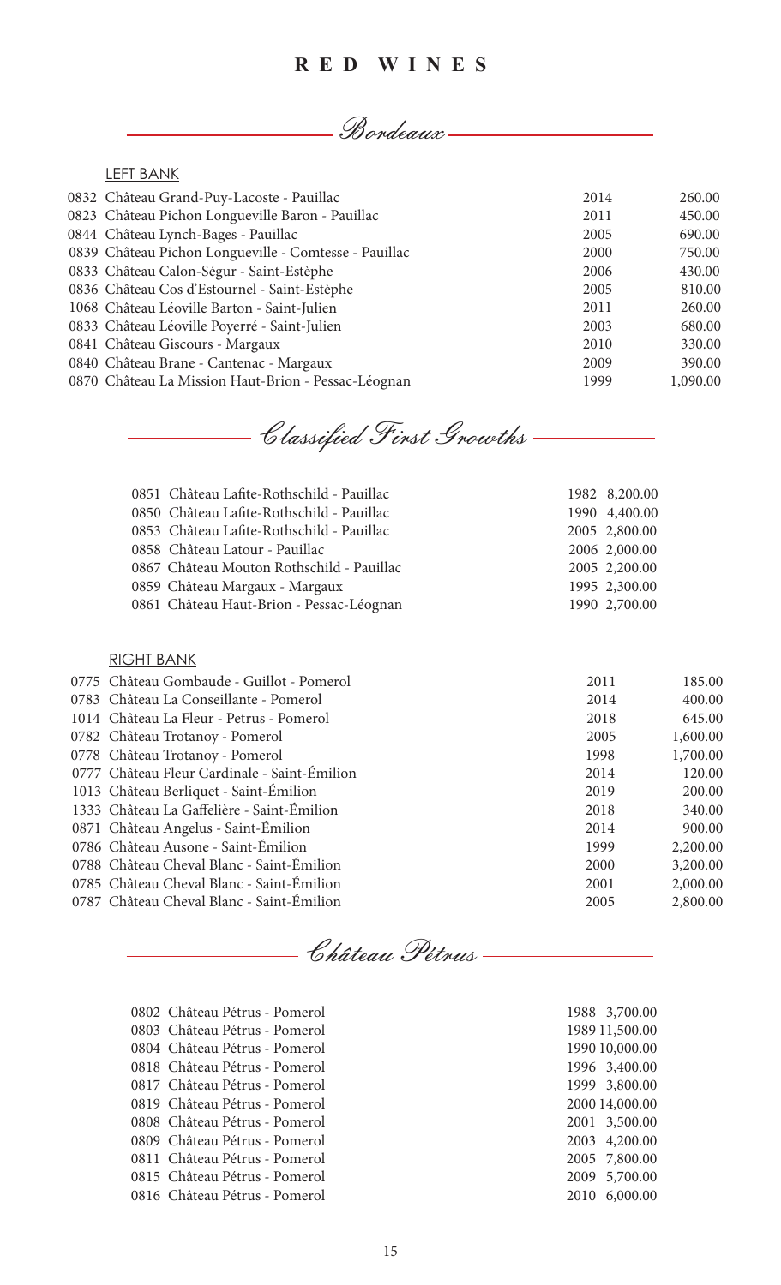Bordeaux

#### LEFT BANK

| 0832 Château Grand-Puy-Lacoste - Pauillac             | 2014 | 260.00   |
|-------------------------------------------------------|------|----------|
| 0823 Château Pichon Longueville Baron - Pauillac      | 2011 | 450.00   |
| 0844 Château Lynch-Bages - Pauillac                   | 2005 | 690.00   |
| 0839 Château Pichon Longueville - Comtesse - Pauillac | 2000 | 750.00   |
| 0833 Château Calon-Ségur - Saint-Estèphe              | 2006 | 430.00   |
| 0836 Château Cos d'Estournel - Saint-Estèphe          | 2005 | 810.00   |
| 1068 Château Léoville Barton - Saint-Julien           | 2011 | 260.00   |
| 0833 Château Léoville Poyerré - Saint-Julien          | 2003 | 680.00   |
| 0841 Château Giscours - Margaux                       | 2010 | 330.00   |
| 0840 Château Brane - Cantenac - Margaux               | 2009 | 390.00   |
| 0870 Château La Mission Haut-Brion - Pessac-Léognan   | 1999 | 1,090.00 |

Classified First Growths

|                                                                                                                                                                                                                                                                                                  | 1982 8,200.00 |
|--------------------------------------------------------------------------------------------------------------------------------------------------------------------------------------------------------------------------------------------------------------------------------------------------|---------------|
|                                                                                                                                                                                                                                                                                                  | 1990 4,400.00 |
|                                                                                                                                                                                                                                                                                                  | 2005 2,800.00 |
|                                                                                                                                                                                                                                                                                                  | 2006 2,000.00 |
|                                                                                                                                                                                                                                                                                                  | 2005 2,200.00 |
|                                                                                                                                                                                                                                                                                                  | 1995 2,300.00 |
|                                                                                                                                                                                                                                                                                                  | 1990 2,700.00 |
| 0851 Château Lafite-Rothschild - Pauillac<br>0850 Château Lafite-Rothschild - Pauillac<br>0853 Château Lafite-Rothschild - Pauillac<br>0858 Château Latour - Pauillac<br>0867 Château Mouton Rothschild - Pauillac<br>0859 Château Margaux - Margaux<br>0861 Château Haut-Brion - Pessac-Léognan |               |

#### RIGHT BANK

| 0775 Château Gombaude - Guillot - Pomerol    | 2011 | 185.00   |
|----------------------------------------------|------|----------|
| 0783 Château La Conseillante - Pomerol       | 2014 | 400.00   |
| 1014 Château La Fleur - Petrus - Pomerol     | 2018 | 645.00   |
| 0782 Château Trotanoy - Pomerol              | 2005 | 1,600.00 |
| 0778 Château Trotanoy - Pomerol              | 1998 | 1,700.00 |
| 0777 Château Fleur Cardinale - Saint-Émilion | 2014 | 120.00   |
| 1013 Château Berliquet - Saint-Émilion       | 2019 | 200.00   |
| 1333 Château La Gaffelière - Saint-Émilion   | 2018 | 340.00   |
| 0871 Château Angelus - Saint-Émilion         | 2014 | 900.00   |
| 0786 Château Ausone - Saint-Émilion          | 1999 | 2,200.00 |
| 0788 Château Cheval Blanc - Saint-Émilion    | 2000 | 3,200.00 |
| 0785 Château Cheval Blanc - Saint-Émilion    | 2001 | 2,000.00 |
| 0787 Château Cheval Blanc - Saint-Émilion    | 2005 | 2,800.00 |
|                                              |      |          |

<u>Château Pétrus</u>

| 0802 Château Pétrus - Pomerol |
|-------------------------------|
| 0803 Château Pétrus - Pomerol |
| 0804 Château Pétrus - Pomerol |
| 0818 Château Pétrus - Pomerol |
| 0817 Château Pétrus - Pomerol |
| 0819 Château Pétrus - Pomerol |
| 0808 Château Pétrus - Pomerol |
| 0809 Château Pétrus - Pomerol |
| 0811 Château Pétrus - Pomerol |
| 0815 Château Pétrus - Pomerol |
| 0816 Château Pétrus - Pomerol |

|           | 1988 3,700.00  |
|-----------|----------------|
|           | 1989 11,500.00 |
|           | 1990 10,000.00 |
| 1996      | 3,400.00       |
| 1999      | 3,800.00       |
| 2000<br>1 | 4,000.00       |
| 2001      | 3,500.00       |
| 2003      | 4,200.00       |
| 2005      | 7,800.00       |
| 2009      | 5,700.00       |
| 2010      | 6,000.00       |
|           |                |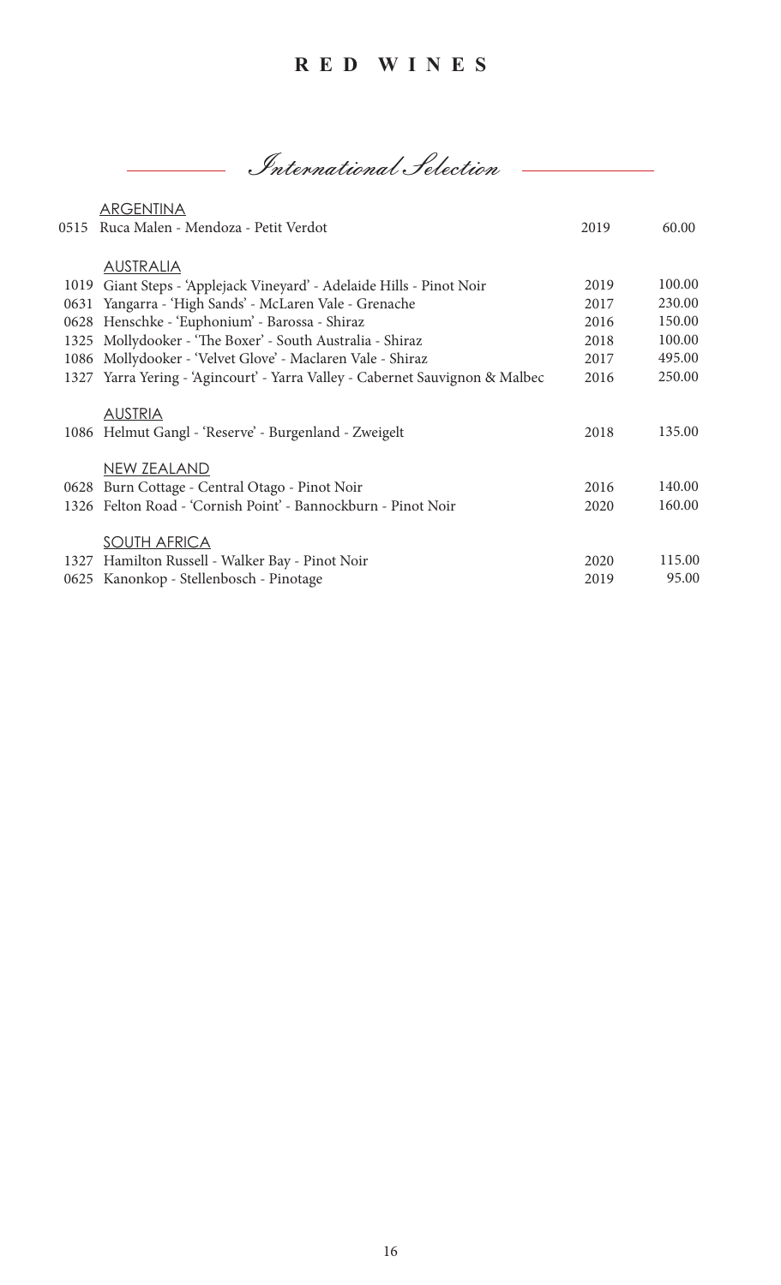International Selection

 $\mathbb{R}^n$ 

|      | <b>ARGENTINA</b>                                                        |      |        |
|------|-------------------------------------------------------------------------|------|--------|
| 0515 | Ruca Malen - Mendoza - Petit Verdot                                     | 2019 | 60.00  |
|      |                                                                         |      |        |
|      | <b>AUSTRALIA</b>                                                        |      |        |
| 1019 | Giant Steps - 'Applejack Vineyard' - Adelaide Hills - Pinot Noir        | 2019 | 100.00 |
| 0631 | Yangarra - 'High Sands' - McLaren Vale - Grenache                       | 2017 | 230.00 |
| 0628 | Henschke - 'Euphonium' - Barossa - Shiraz                               | 2016 | 150.00 |
| 1325 | Mollydooker - 'The Boxer' - South Australia - Shiraz                    | 2018 | 100.00 |
| 1086 | Mollydooker - 'Velvet Glove' - Maclaren Vale - Shiraz                   | 2017 | 495.00 |
| 1327 | Yarra Yering - 'Agincourt' - Yarra Valley - Cabernet Sauvignon & Malbec | 2016 | 250.00 |
|      |                                                                         |      |        |
|      | <b>AUSTRIA</b>                                                          |      |        |
|      | 1086 Helmut Gangl - 'Reserve' - Burgenland - Zweigelt                   | 2018 | 135.00 |
|      |                                                                         |      |        |
|      | NEW ZEALAND                                                             |      |        |
| 0628 | Burn Cottage - Central Otago - Pinot Noir                               | 2016 | 140.00 |
| 1326 | Felton Road - 'Cornish Point' - Bannockburn - Pinot Noir                | 2020 | 160.00 |
|      |                                                                         |      |        |
|      | <b>SOUTH AFRICA</b>                                                     |      |        |
| 1327 | Hamilton Russell - Walker Bay - Pinot Noir                              | 2020 | 115.00 |
|      | 0625 Kanonkop - Stellenbosch - Pinotage                                 | 2019 | 95.00  |
|      |                                                                         |      |        |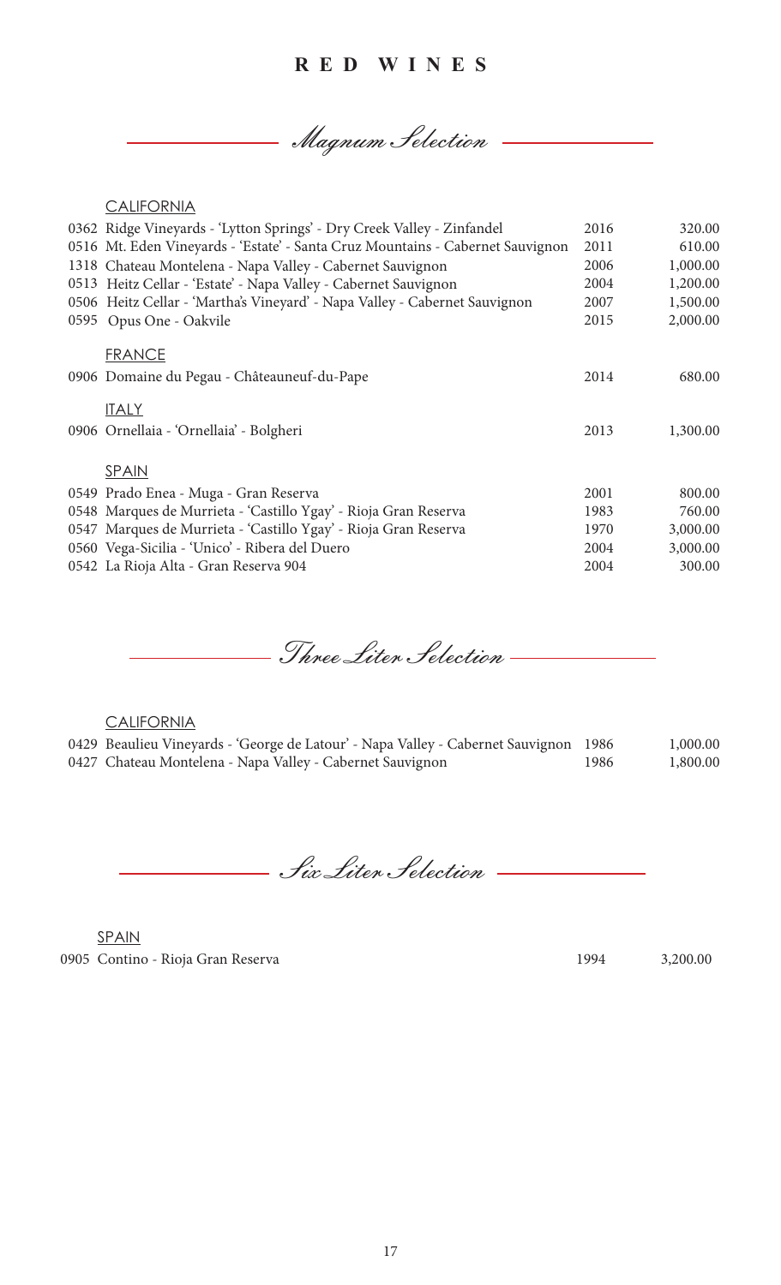Magnum Selection

|      | <b>CALIFORNIA</b>                                                              |      |          |
|------|--------------------------------------------------------------------------------|------|----------|
|      | 0362 Ridge Vineyards - 'Lytton Springs' - Dry Creek Valley - Zinfandel         | 2016 | 320.00   |
|      | 0516 Mt. Eden Vineyards - 'Estate' - Santa Cruz Mountains - Cabernet Sauvignon | 2011 | 610.00   |
|      | 1318 Chateau Montelena - Napa Valley - Cabernet Sauvignon                      | 2006 | 1,000.00 |
|      | 0513 Heitz Cellar - 'Estate' - Napa Valley - Cabernet Sauvignon                | 2004 | 1,200.00 |
|      | 0506 Heitz Cellar - 'Martha's Vineyard' - Napa Valley - Cabernet Sauvignon     | 2007 | 1,500.00 |
| 0595 | Opus One - Oakvile                                                             | 2015 | 2,000.00 |
|      | <b>FRANCE</b>                                                                  |      |          |
|      | 0906 Domaine du Pegau - Châteauneuf-du-Pape                                    | 2014 | 680.00   |
|      | <b>ITALY</b>                                                                   |      |          |
|      | 0906 Ornellaia - 'Ornellaia' - Bolgheri                                        | 2013 | 1,300.00 |
|      | SPAIN                                                                          |      |          |
|      |                                                                                |      |          |
|      | 0549 Prado Enea - Muga - Gran Reserva                                          | 2001 | 800.00   |
|      | 0548 Marques de Murrieta - 'Castillo Ygay' - Rioja Gran Reserva                | 1983 | 760.00   |
|      | 0547 Marques de Murrieta - 'Castillo Ygay' - Rioja Gran Reserva                | 1970 | 3,000.00 |
|      | 0560 Vega-Sicilia - 'Unico' - Ribera del Duero                                 | 2004 | 3,000.00 |
|      | 0542 La Rioja Alta - Gran Reserva 904                                          | 2004 | 300.00   |

Three Liter Selection

#### **CALIFORNIA**

| 0429 Beaulieu Vineyards - 'George de Latour' - Napa Valley - Cabernet Sauvignon 1986 |      | 1,000.00 |
|--------------------------------------------------------------------------------------|------|----------|
| 0427 Chateau Montelena - Napa Valley - Cabernet Sauvignon                            | 1986 | 1,800.00 |

Six Liter Selection

0905 Contino - Rioja Gran Reserva 1994 3,200.00 SPAIN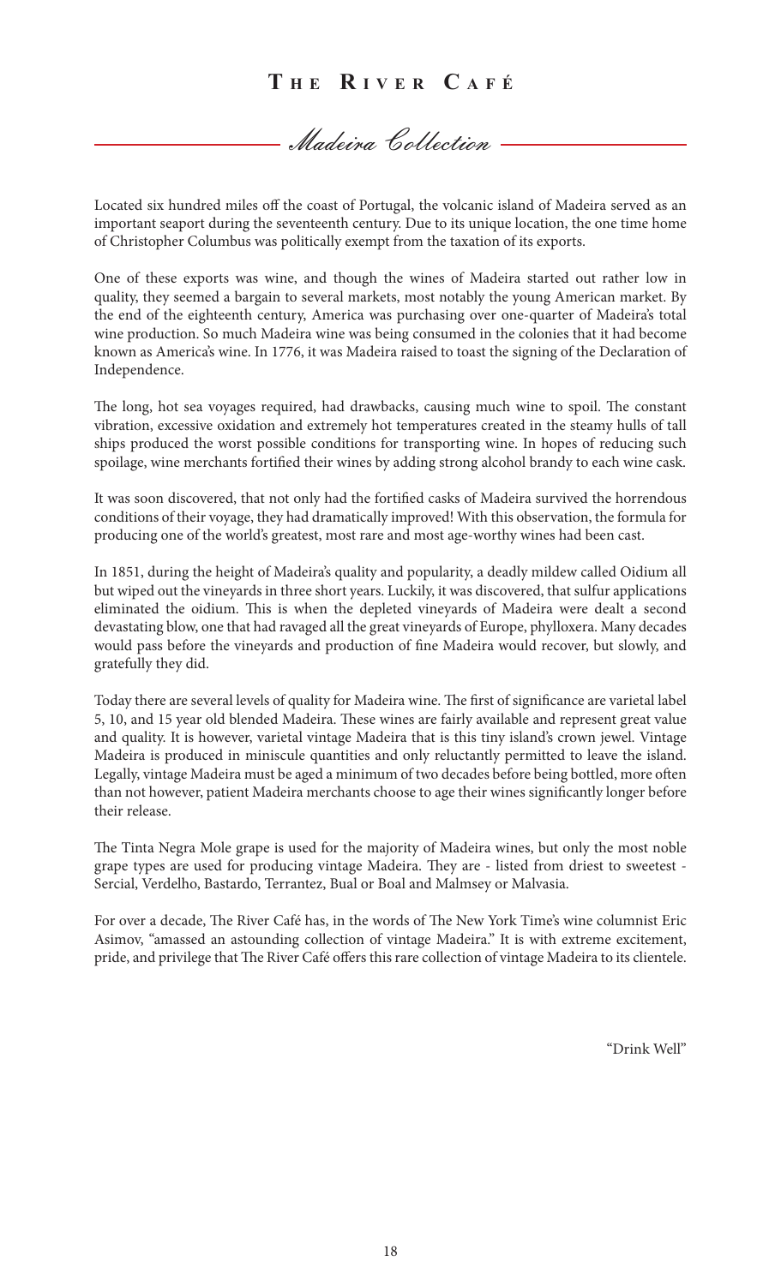Madeira Collection

Located six hundred miles off the coast of Portugal, the volcanic island of Madeira served as an important seaport during the seventeenth century. Due to its unique location, the one time home of Christopher Columbus was politically exempt from the taxation of its exports.

One of these exports was wine, and though the wines of Madeira started out rather low in quality, they seemed a bargain to several markets, most notably the young American market. By the end of the eighteenth century, America was purchasing over one-quarter of Madeira's total wine production. So much Madeira wine was being consumed in the colonies that it had become known as America's wine. In 1776, it was Madeira raised to toast the signing of the Declaration of Independence.

The long, hot sea voyages required, had drawbacks, causing much wine to spoil. The constant vibration, excessive oxidation and extremely hot temperatures created in the steamy hulls of tall ships produced the worst possible conditions for transporting wine. In hopes of reducing such spoilage, wine merchants fortified their wines by adding strong alcohol brandy to each wine cask.

It was soon discovered, that not only had the fortified casks of Madeira survived the horrendous conditions of their voyage, they had dramatically improved! With this observation, the formula for producing one of the world's greatest, most rare and most age-worthy wines had been cast.

In 1851, during the height of Madeira's quality and popularity, a deadly mildew called Oidium all but wiped out the vineyards in three short years. Luckily, it was discovered, that sulfur applications eliminated the oidium. This is when the depleted vineyards of Madeira were dealt a second devastating blow, one that had ravaged all the great vineyards of Europe, phylloxera. Many decades would pass before the vineyards and production of fine Madeira would recover, but slowly, and gratefully they did.

Today there are several levels of quality for Madeira wine. The first of significance are varietal label 5, 10, and 15 year old blended Madeira. These wines are fairly available and represent great value and quality. It is however, varietal vintage Madeira that is this tiny island's crown jewel. Vintage Madeira is produced in miniscule quantities and only reluctantly permitted to leave the island. Legally, vintage Madeira must be aged a minimum of two decades before being bottled, more often than not however, patient Madeira merchants choose to age their wines significantly longer before their release.

The Tinta Negra Mole grape is used for the majority of Madeira wines, but only the most noble grape types are used for producing vintage Madeira. They are - listed from driest to sweetest - Sercial, Verdelho, Bastardo, Terrantez, Bual or Boal and Malmsey or Malvasia.

For over a decade, The River Café has, in the words of The New York Time's wine columnist Eric Asimov, "amassed an astounding collection of vintage Madeira." It is with extreme excitement, pride, and privilege that The River Café offers this rare collection of vintage Madeira to its clientele.

"Drink Well"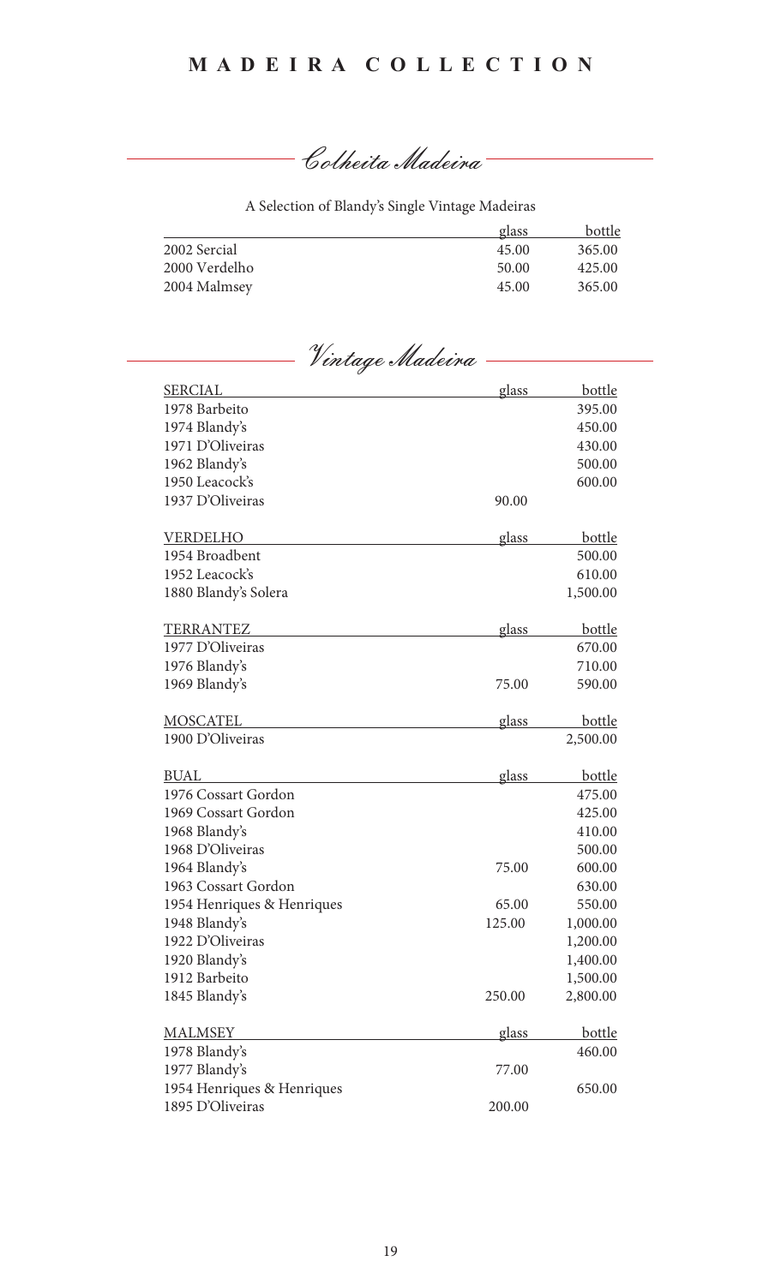Colheita Madeira

A Selection of Blandy's Single Vintage Madeiras

|               | glass | bottle |
|---------------|-------|--------|
| 2002 Sercial  | 45.00 | 365.00 |
| 2000 Verdelho | 50.00 | 425.00 |
| 2004 Malmsey  | 45.00 | 365.00 |
|               |       |        |

Vintage Madeira

| <b>SERCIAL</b>             | glass        | <u>bottle</u> |
|----------------------------|--------------|---------------|
| 1978 Barbeito              |              | 395.00        |
| 1974 Blandy's              |              | 450.00        |
| 1971 D'Oliveiras           |              | 430.00        |
| 1962 Blandy's              |              | 500.00        |
| 1950 Leacock's             |              | 600.00        |
| 1937 D'Oliveiras           | 90.00        |               |
|                            |              |               |
| <b>VERDELHO</b>            | glass        | bottle        |
| 1954 Broadbent             |              | 500.00        |
| 1952 Leacock's             |              | 610.00        |
| 1880 Blandy's Solera       |              | 1,500.00      |
|                            |              |               |
| <b>TERRANTEZ</b>           | glass        | bottle        |
| 1977 D'Oliveiras           |              | 670.00        |
| 1976 Blandy's              |              | 710.00        |
| 1969 Blandy's              | 75.00        | 590.00        |
|                            |              |               |
| <b>MOSCATEL</b>            | glass        | bottle        |
| 1900 D'Oliveiras           |              | 2,500.00      |
| <b>BUAL</b>                | <u>glass</u> | <u>bottle</u> |
| 1976 Cossart Gordon        |              | 475.00        |
| 1969 Cossart Gordon        |              | 425.00        |
| 1968 Blandy's              |              | 410.00        |
| 1968 D'Oliveiras           |              | 500.00        |
| 1964 Blandy's              | 75.00        | 600.00        |
| 1963 Cossart Gordon        |              | 630.00        |
| 1954 Henriques & Henriques | 65.00        | 550.00        |
| 1948 Blandy's              | 125.00       | 1,000.00      |
| 1922 D'Oliveiras           |              | 1,200.00      |
| 1920 Blandy's              |              | 1,400.00      |
| 1912 Barbeito              |              | 1,500.00      |
| 1845 Blandy's              | 250.00       | 2,800.00      |
|                            |              |               |
| <b>MALMSEY</b>             | <u>glass</u> | <u>bottle</u> |
| 1978 Blandy's              |              | 460.00        |
| 1977 Blandy's              | 77.00        |               |
| 1954 Henriques & Henriques |              | 650.00        |
| 1895 D'Oliveiras           | 200.00       |               |